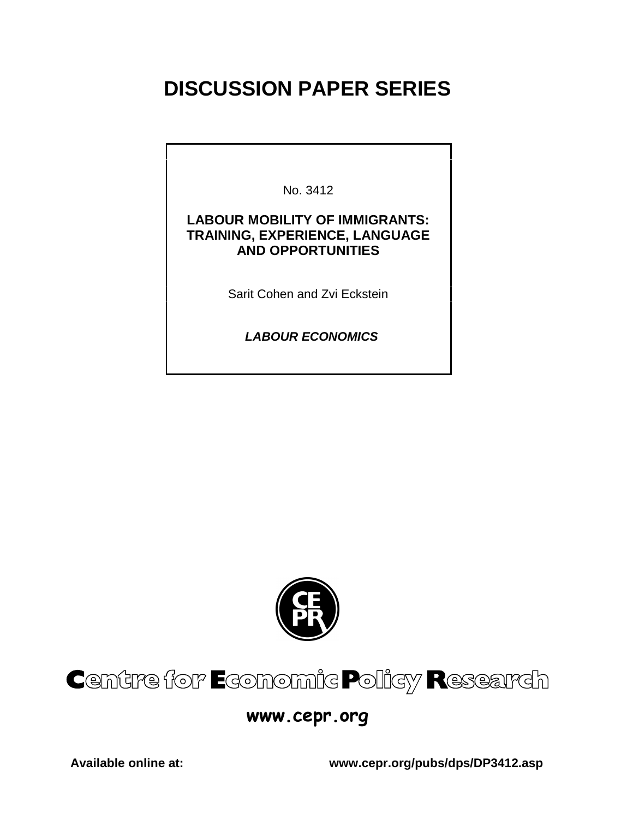# **DISCUSSION PAPER SERIES**

No. 3412

### **LABOUR MOBILITY OF IMMIGRANTS: TRAINING, EXPERIENCE, LANGUAGE AND OPPORTUNITIES**

Sarit Cohen and Zvi Eckstein

 **LABOUR ECONOMICS**



# Centre for Economic Policy Research

## www.cepr.org

**Available online at: www.cepr.org/pubs/dps/DP3412.asp**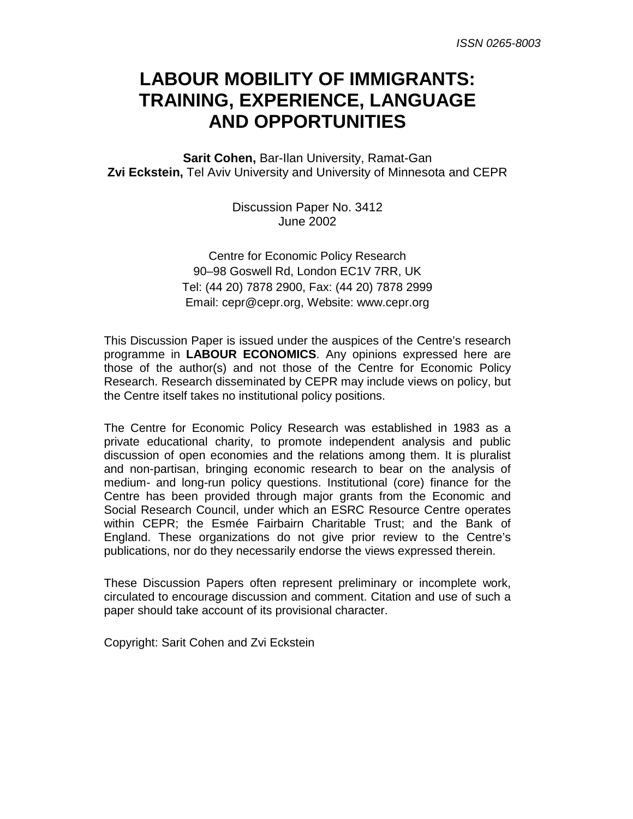## **LABOUR MOBILITY OF IMMIGRANTS: TRAINING, EXPERIENCE, LANGUAGE AND OPPORTUNITIES**

**Sarit Cohen,** Bar-Ilan University, Ramat-Gan **Zvi Eckstein,** Tel Aviv University and University of Minnesota and CEPR

> Discussion Paper No. 3412 June 2002

Centre for Economic Policy Research 90–98 Goswell Rd, London EC1V 7RR, UK Tel: (44 20) 7878 2900, Fax: (44 20) 7878 2999 Email: cepr@cepr.org, Website: www.cepr.org

This Discussion Paper is issued under the auspices of the Centre's research programme in **LABOUR ECONOMICS**. Any opinions expressed here are those of the author(s) and not those of the Centre for Economic Policy Research. Research disseminated by CEPR may include views on policy, but the Centre itself takes no institutional policy positions.

The Centre for Economic Policy Research was established in 1983 as a private educational charity, to promote independent analysis and public discussion of open economies and the relations among them. It is pluralist and non-partisan, bringing economic research to bear on the analysis of medium- and long-run policy questions. Institutional (core) finance for the Centre has been provided through major grants from the Economic and Social Research Council, under which an ESRC Resource Centre operates within CEPR; the Esmée Fairbairn Charitable Trust; and the Bank of England. These organizations do not give prior review to the Centre's publications, nor do they necessarily endorse the views expressed therein.

These Discussion Papers often represent preliminary or incomplete work, circulated to encourage discussion and comment. Citation and use of such a paper should take account of its provisional character.

Copyright: Sarit Cohen and Zvi Eckstein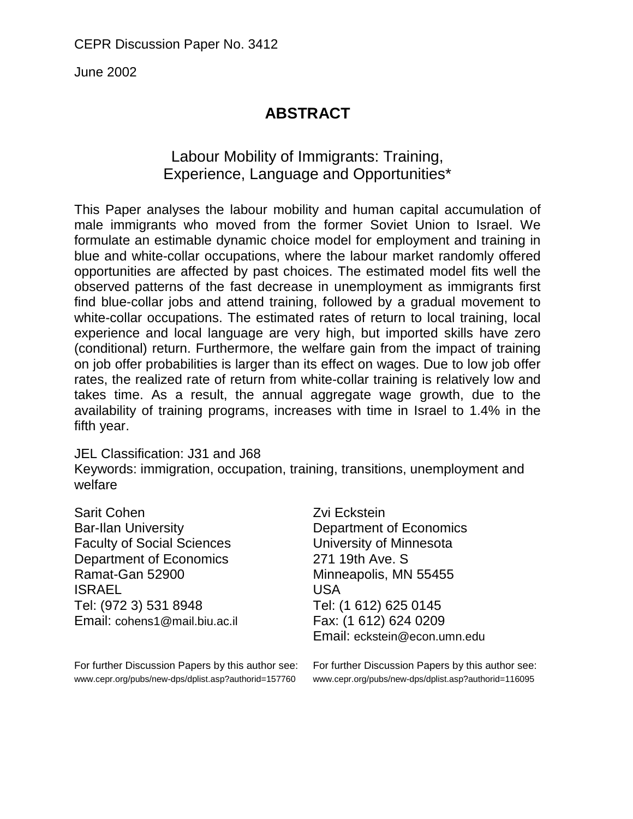June 2002

### **ABSTRACT**

### Labour Mobility of Immigrants: Training, Experience, Language and Opportunities\*

This Paper analyses the labour mobility and human capital accumulation of male immigrants who moved from the former Soviet Union to Israel. We formulate an estimable dynamic choice model for employment and training in blue and white-collar occupations, where the labour market randomly offered opportunities are affected by past choices. The estimated model fits well the observed patterns of the fast decrease in unemployment as immigrants first find blue-collar jobs and attend training, followed by a gradual movement to white-collar occupations. The estimated rates of return to local training, local experience and local language are very high, but imported skills have zero (conditional) return. Furthermore, the welfare gain from the impact of training on job offer probabilities is larger than its effect on wages. Due to low job offer rates, the realized rate of return from white-collar training is relatively low and takes time. As a result, the annual aggregate wage growth, due to the availability of training programs, increases with time in Israel to 1.4% in the fifth year.

### JEL Classification: J31 and J68

Keywords: immigration, occupation, training, transitions, unemployment and welfare

| <b>Sarit Cohen</b>                | Zvi Eckstein                 |
|-----------------------------------|------------------------------|
| <b>Bar-Ilan University</b>        | Department of Economics      |
| <b>Faculty of Social Sciences</b> | University of Minnesota      |
| <b>Department of Economics</b>    | 271 19th Ave. S              |
| Ramat-Gan 52900                   | Minneapolis, MN 55455        |
| <b>ISRAEL</b>                     | <b>USA</b>                   |
| Tel: (972 3) 531 8948             | Tel: (1 612) 625 0145        |
| Email: cohens1@mail.biu.ac.il     | Fax: (1 612) 624 0209        |
|                                   | Email: eckstein@econ.umn.edu |

For further Discussion Papers by this author see: For further Discussion Papers by this author see: www.cepr.org/pubs/new-dps/dplist.asp?authorid=157760

www.cepr.org/pubs/new-dps/dplist.asp?authorid=116095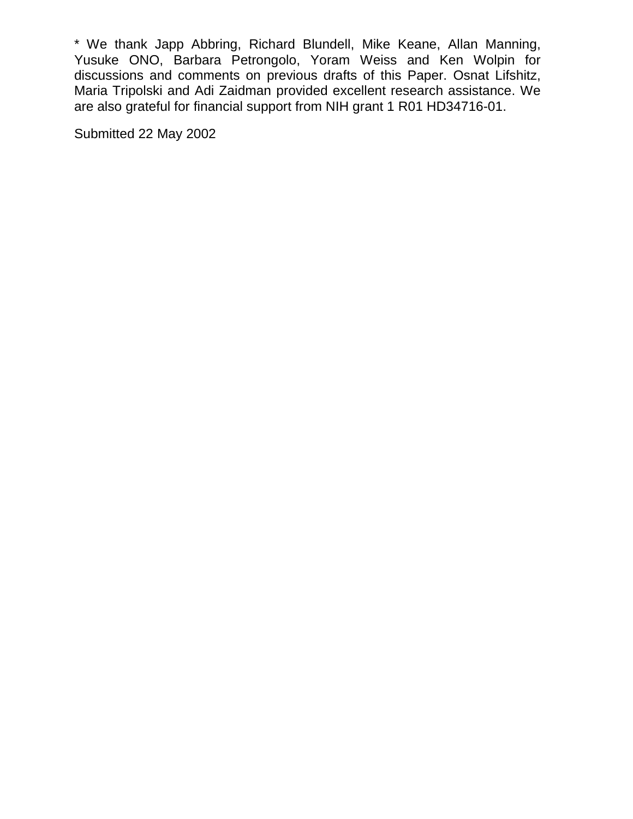\* We thank Japp Abbring, Richard Blundell, Mike Keane, Allan Manning, Yusuke ONO, Barbara Petrongolo, Yoram Weiss and Ken Wolpin for discussions and comments on previous drafts of this Paper. Osnat Lifshitz, Maria Tripolski and Adi Zaidman provided excellent research assistance. We are also grateful for financial support from NIH grant 1 R01 HD34716-01.

Submitted 22 May 2002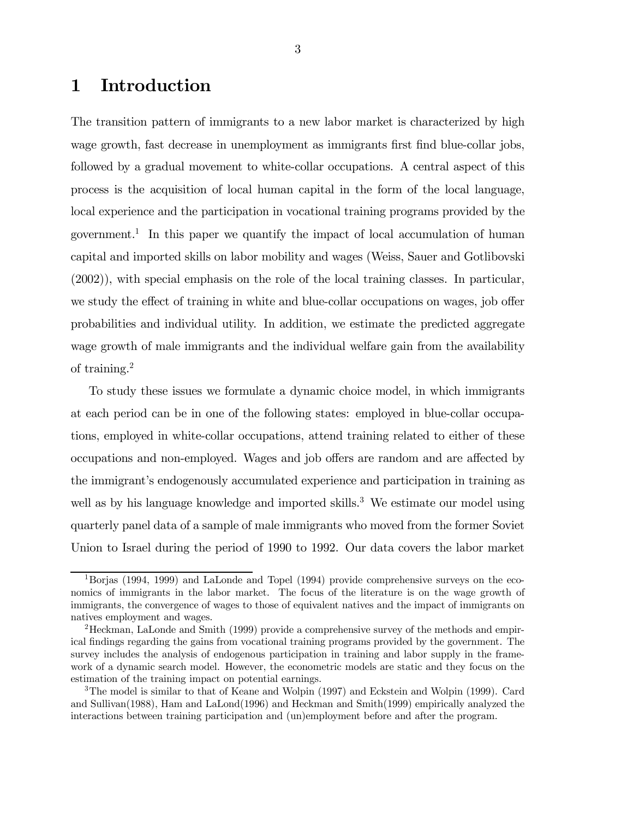### 1 Introduction

The transition pattern of immigrants to a new labor market is characterized by high wage growth, fast decrease in unemployment as immigrants first find blue-collar jobs, followed by a gradual movement to white-collar occupations. A central aspect of this process is the acquisition of local human capital in the form of the local language, local experience and the participation in vocational training programs provided by the government.<sup>1</sup> In this paper we quantify the impact of local accumulation of human capital and imported skills on labor mobility and wages (Weiss, Sauer and Gotlibovski (2002)), with special emphasis on the role of the local training classes. In particular, we study the effect of training in white and blue-collar occupations on wages, job offer probabilities and individual utility. In addition, we estimate the predicted aggregate wage growth of male immigrants and the individual welfare gain from the availability of training.2

To study these issues we formulate a dynamic choice model, in which immigrants at each period can be in one of the following states: employed in blue-collar occupations, employed in white-collar occupations, attend training related to either of these occupations and non-employed. Wages and job offers are random and are affected by the immigrant's endogenously accumulated experience and participation in training as well as by his language knowledge and imported skills.<sup>3</sup> We estimate our model using quarterly panel data of a sample of male immigrants who moved from the former Soviet Union to Israel during the period of 1990 to 1992. Our data covers the labor market

<sup>1</sup>Borjas (1994, 1999) and LaLonde and Topel (1994) provide comprehensive surveys on the economics of immigrants in the labor market. The focus of the literature is on the wage growth of immigrants, the convergence of wages to those of equivalent natives and the impact of immigrants on natives employment and wages.

<sup>&</sup>lt;sup>2</sup>Heckman, LaLonde and Smith (1999) provide a comprehensive survey of the methods and empirical findings regarding the gains from vocational training programs provided by the government. The survey includes the analysis of endogenous participation in training and labor supply in the framework of a dynamic search model. However, the econometric models are static and they focus on the estimation of the training impact on potential earnings.

<sup>&</sup>lt;sup>3</sup>The model is similar to that of Keane and Wolpin (1997) and Eckstein and Wolpin (1999). Card and Sullivan(1988), Ham and LaLond(1996) and Heckman and Smith(1999) empirically analyzed the interactions between training participation and (un)employment before and after the program.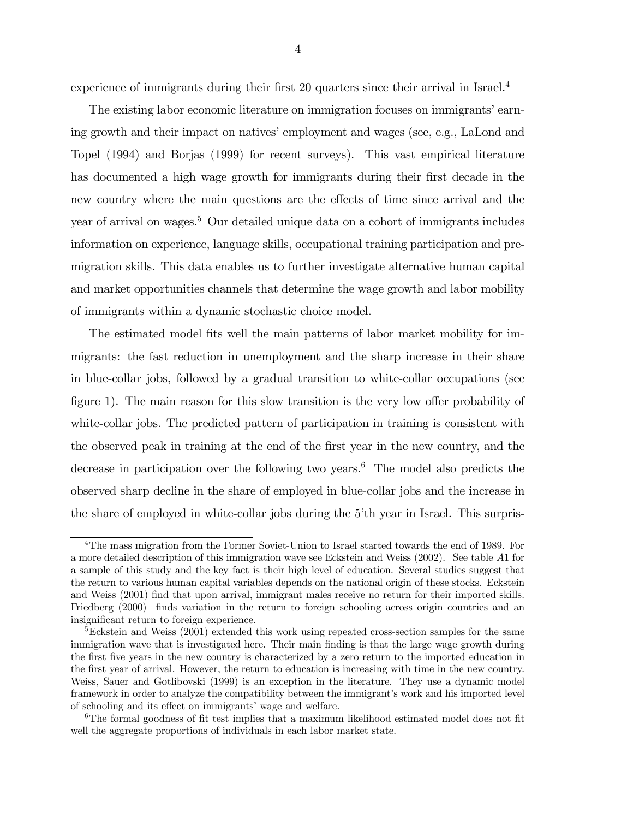experience of immigrants during their first 20 quarters since their arrival in Israel.<sup>4</sup>

The existing labor economic literature on immigration focuses on immigrants' earning growth and their impact on natives' employment and wages (see, e.g., LaLond and Topel (1994) and Borjas (1999) for recent surveys). This vast empirical literature has documented a high wage growth for immigrants during their first decade in the new country where the main questions are the effects of time since arrival and the year of arrival on wages.5 Our detailed unique data on a cohort of immigrants includes information on experience, language skills, occupational training participation and premigration skills. This data enables us to further investigate alternative human capital and market opportunities channels that determine the wage growth and labor mobility of immigrants within a dynamic stochastic choice model.

The estimated model fits well the main patterns of labor market mobility for immigrants: the fast reduction in unemployment and the sharp increase in their share in blue-collar jobs, followed by a gradual transition to white-collar occupations (see figure 1). The main reason for this slow transition is the very low offer probability of white-collar jobs. The predicted pattern of participation in training is consistent with the observed peak in training at the end of the first year in the new country, and the decrease in participation over the following two years.<sup>6</sup> The model also predicts the observed sharp decline in the share of employed in blue-collar jobs and the increase in the share of employed in white-collar jobs during the 5'th year in Israel. This surpris-

<sup>4</sup>The mass migration from the Former Soviet-Union to Israel started towards the end of 1989. For a more detailed description of this immigration wave see Eckstein and Weiss (2002). See table A1 for a sample of this study and the key fact is their high level of education. Several studies suggest that the return to various human capital variables depends on the national origin of these stocks. Eckstein and Weiss (2001) find that upon arrival, immigrant males receive no return for their imported skills. Friedberg (2000) finds variation in the return to foreign schooling across origin countries and an insignificant return to foreign experience.

<sup>&</sup>lt;sup>5</sup>Eckstein and Weiss (2001) extended this work using repeated cross-section samples for the same immigration wave that is investigated here. Their main finding is that the large wage growth during the first five years in the new country is characterized by a zero return to the imported education in the first year of arrival. However, the return to education is increasing with time in the new country. Weiss, Sauer and Gotlibovski (1999) is an exception in the literature. They use a dynamic model framework in order to analyze the compatibility between the immigrant's work and his imported level of schooling and its effect on immigrants' wage and welfare.

 $6$ The formal goodness of fit test implies that a maximum likelihood estimated model does not fit well the aggregate proportions of individuals in each labor market state.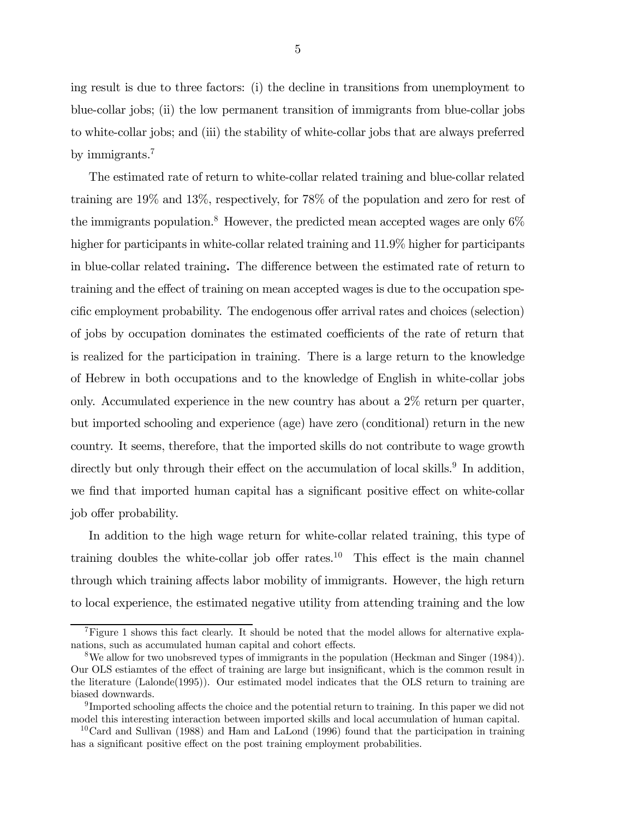ing result is due to three factors: (i) the decline in transitions from unemployment to blue-collar jobs; (ii) the low permanent transition of immigrants from blue-collar jobs to white-collar jobs; and (iii) the stability of white-collar jobs that are always preferred by immigrants.<sup>7</sup>

The estimated rate of return to white-collar related training and blue-collar related training are 19% and 13%, respectively, for 78% of the population and zero for rest of the immigrants population.<sup>8</sup> However, the predicted mean accepted wages are only  $6\%$ higher for participants in white-collar related training and  $11.9\%$  higher for participants in blue-collar related training. The difference between the estimated rate of return to training and the effect of training on mean accepted wages is due to the occupation specific employment probability. The endogenous offer arrival rates and choices (selection) of jobs by occupation dominates the estimated coefficients of the rate of return that is realized for the participation in training. There is a large return to the knowledge of Hebrew in both occupations and to the knowledge of English in white-collar jobs only. Accumulated experience in the new country has about a 2% return per quarter, but imported schooling and experience (age) have zero (conditional) return in the new country. It seems, therefore, that the imported skills do not contribute to wage growth directly but only through their effect on the accumulation of local skills.<sup>9</sup> In addition, we find that imported human capital has a significant positive effect on white-collar job offer probability.

In addition to the high wage return for white-collar related training, this type of training doubles the white-collar job offer rates.<sup>10</sup> This effect is the main channel through which training affects labor mobility of immigrants. However, the high return to local experience, the estimated negative utility from attending training and the low

<sup>7</sup>Figure 1 shows this fact clearly. It should be noted that the model allows for alternative explanations, such as accumulated human capital and cohort effects.

<sup>8</sup>We allow for two unobsreved types of immigrants in the population (Heckman and Singer (1984)). Our OLS estiamtes of the effect of training are large but insignificant, which is the common result in the literature (Lalonde(1995)). Our estimated model indicates that the OLS return to training are biased downwards.

 $9$ Imported schooling affects the choice and the potential return to training. In this paper we did not model this interesting interaction between imported skills and local accumulation of human capital.

 $10$ Card and Sullivan (1988) and Ham and LaLond (1996) found that the participation in training has a significant positive effect on the post training employment probabilities.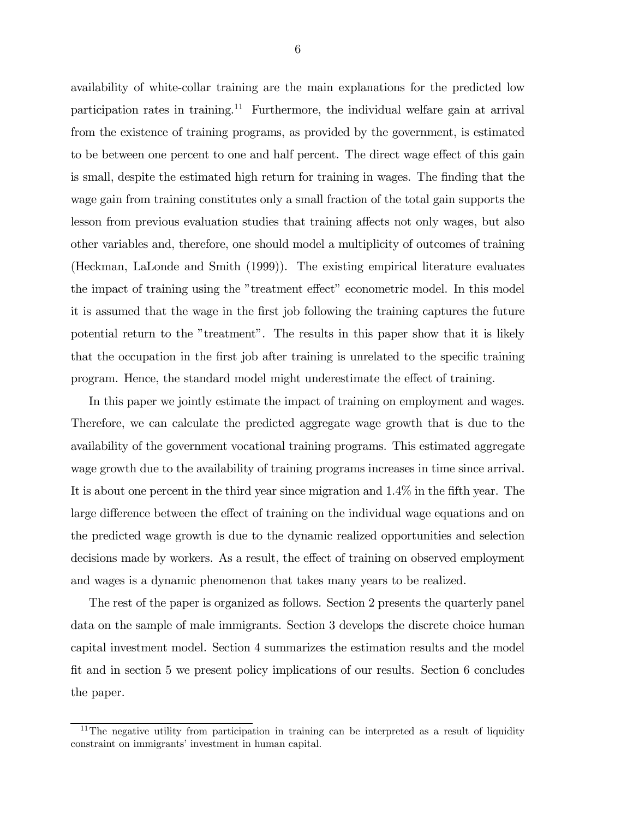availability of white-collar training are the main explanations for the predicted low participation rates in training.<sup>11</sup> Furthermore, the individual welfare gain at arrival from the existence of training programs, as provided by the government, is estimated to be between one percent to one and half percent. The direct wage effect of this gain is small, despite the estimated high return for training in wages. The finding that the wage gain from training constitutes only a small fraction of the total gain supports the lesson from previous evaluation studies that training affects not only wages, but also other variables and, therefore, one should model a multiplicity of outcomes of training (Heckman, LaLonde and Smith (1999)). The existing empirical literature evaluates the impact of training using the "treatment effect" econometric model. In this model it is assumed that the wage in the first job following the training captures the future potential return to the "treatment". The results in this paper show that it is likely that the occupation in the first job after training is unrelated to the specific training program. Hence, the standard model might underestimate the effect of training.

In this paper we jointly estimate the impact of training on employment and wages. Therefore, we can calculate the predicted aggregate wage growth that is due to the availability of the government vocational training programs. This estimated aggregate wage growth due to the availability of training programs increases in time since arrival. It is about one percent in the third year since migration and 1.4% in the fifth year. The large difference between the effect of training on the individual wage equations and on the predicted wage growth is due to the dynamic realized opportunities and selection decisions made by workers. As a result, the effect of training on observed employment and wages is a dynamic phenomenon that takes many years to be realized.

The rest of the paper is organized as follows. Section 2 presents the quarterly panel data on the sample of male immigrants. Section 3 develops the discrete choice human capital investment model. Section 4 summarizes the estimation results and the model fit and in section 5 we present policy implications of our results. Section 6 concludes the paper.

<sup>&</sup>lt;sup>11</sup>The negative utility from participation in training can be interpreted as a result of liquidity constraint on immigrants' investment in human capital.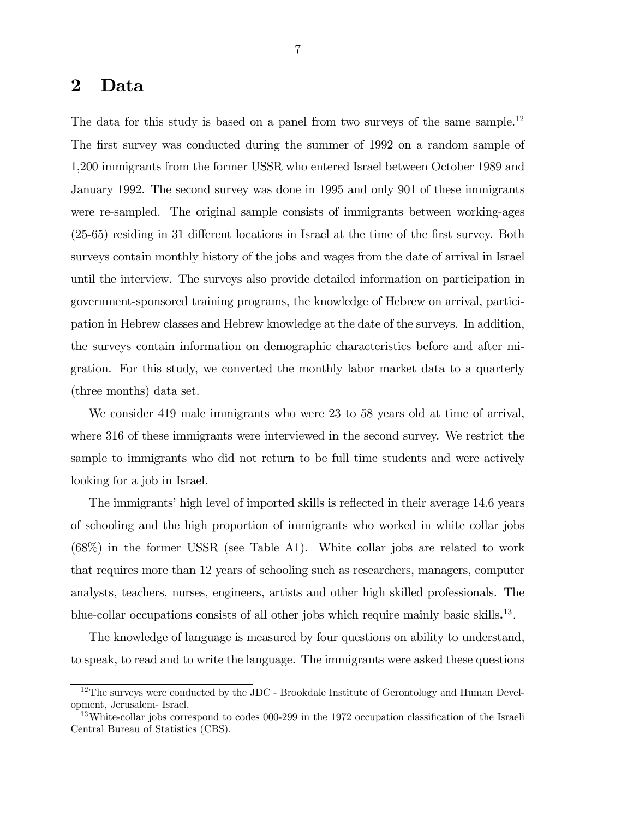### 2 Data

The data for this study is based on a panel from two surveys of the same sample.<sup>12</sup> The first survey was conducted during the summer of 1992 on a random sample of 1,200 immigrants from the former USSR who entered Israel between October 1989 and January 1992. The second survey was done in 1995 and only 901 of these immigrants were re-sampled. The original sample consists of immigrants between working-ages (25-65) residing in 31 different locations in Israel at the time of the first survey. Both surveys contain monthly history of the jobs and wages from the date of arrival in Israel until the interview. The surveys also provide detailed information on participation in government-sponsored training programs, the knowledge of Hebrew on arrival, participation in Hebrew classes and Hebrew knowledge at the date of the surveys. In addition, the surveys contain information on demographic characteristics before and after migration. For this study, we converted the monthly labor market data to a quarterly (three months) data set.

We consider 419 male immigrants who were 23 to 58 years old at time of arrival, where 316 of these immigrants were interviewed in the second survey. We restrict the sample to immigrants who did not return to be full time students and were actively looking for a job in Israel.

The immigrants' high level of imported skills is reflected in their average 14.6 years of schooling and the high proportion of immigrants who worked in white collar jobs  $(68\%)$  in the former USSR (see Table A1). White collar jobs are related to work that requires more than 12 years of schooling such as researchers, managers, computer analysts, teachers, nurses, engineers, artists and other high skilled professionals. The blue-collar occupations consists of all other jobs which require mainly basic skills. 13.

The knowledge of language is measured by four questions on ability to understand, to speak, to read and to write the language. The immigrants were asked these questions

<sup>&</sup>lt;sup>12</sup>The surveys were conducted by the JDC - Brookdale Institute of Gerontology and Human Development, Jerusalem- Israel.

<sup>&</sup>lt;sup>13</sup>White-collar jobs correspond to codes 000-299 in the 1972 occupation classification of the Israeli Central Bureau of Statistics (CBS).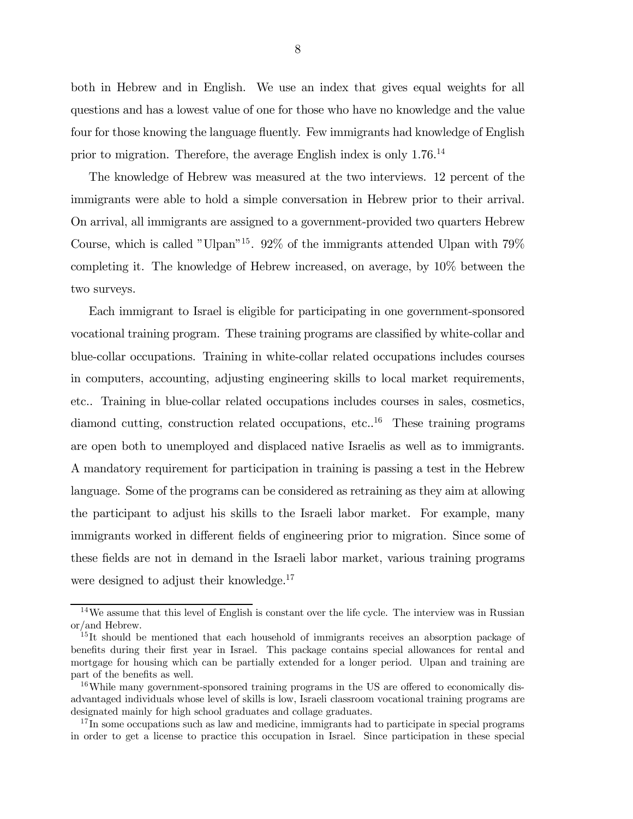both in Hebrew and in English. We use an index that gives equal weights for all questions and has a lowest value of one for those who have no knowledge and the value four for those knowing the language fluently. Few immigrants had knowledge of English prior to migration. Therefore, the average English index is only 1.76.14

The knowledge of Hebrew was measured at the two interviews. 12 percent of the immigrants were able to hold a simple conversation in Hebrew prior to their arrival. On arrival, all immigrants are assigned to a government-provided two quarters Hebrew Course, which is called "Ulpan"15. 92% of the immigrants attended Ulpan with 79% completing it. The knowledge of Hebrew increased, on average, by 10% between the two surveys.

Each immigrant to Israel is eligible for participating in one government-sponsored vocational training program. These training programs are classified by white-collar and blue-collar occupations. Training in white-collar related occupations includes courses in computers, accounting, adjusting engineering skills to local market requirements, etc.. Training in blue-collar related occupations includes courses in sales, cosmetics, diamond cutting, construction related occupations, etc..16 These training programs are open both to unemployed and displaced native Israelis as well as to immigrants. A mandatory requirement for participation in training is passing a test in the Hebrew language. Some of the programs can be considered as retraining as they aim at allowing the participant to adjust his skills to the Israeli labor market. For example, many immigrants worked in different fields of engineering prior to migration. Since some of these fields are not in demand in the Israeli labor market, various training programs were designed to adjust their knowledge.<sup>17</sup>

 $14$ We assume that this level of English is constant over the life cycle. The interview was in Russian or/and Hebrew.

 $15$ It should be mentioned that each household of immigrants receives an absorption package of benefits during their first year in Israel. This package contains special allowances for rental and mortgage for housing which can be partially extended for a longer period. Ulpan and training are part of the benefits as well.

<sup>&</sup>lt;sup>16</sup>While many government-sponsored training programs in the US are offered to economically disadvantaged individuals whose level of skills is low, Israeli classroom vocational training programs are designated mainly for high school graduates and collage graduates.

<sup>&</sup>lt;sup>17</sup>In some occupations such as law and medicine, immigrants had to participate in special programs in order to get a license to practice this occupation in Israel. Since participation in these special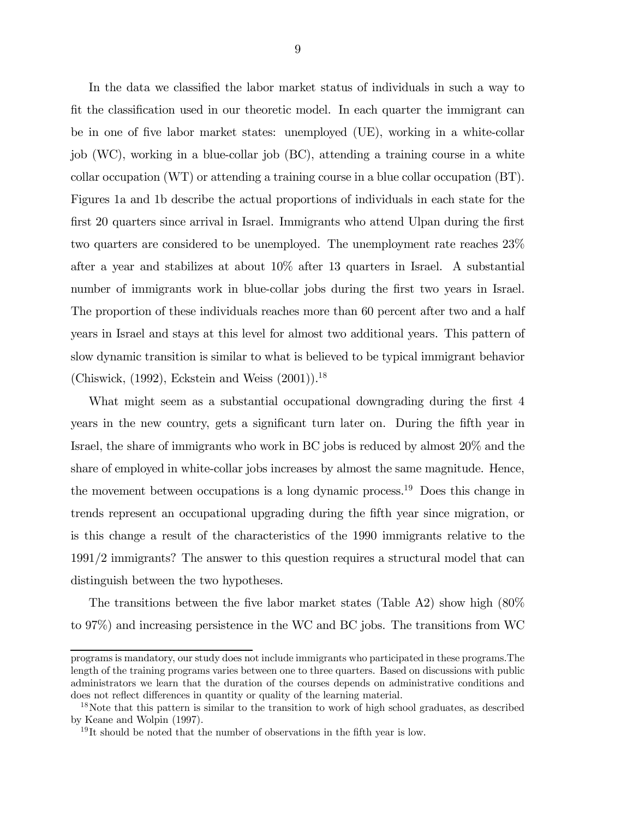In the data we classified the labor market status of individuals in such a way to fit the classification used in our theoretic model. In each quarter the immigrant can be in one of five labor market states: unemployed (UE), working in a white-collar job (WC), working in a blue-collar job (BC), attending a training course in a white collar occupation (WT) or attending a training course in a blue collar occupation (BT). Figures 1a and 1b describe the actual proportions of individuals in each state for the first 20 quarters since arrival in Israel. Immigrants who attend Ulpan during the first two quarters are considered to be unemployed. The unemployment rate reaches 23% after a year and stabilizes at about 10% after 13 quarters in Israel. A substantial number of immigrants work in blue-collar jobs during the first two years in Israel. The proportion of these individuals reaches more than 60 percent after two and a half years in Israel and stays at this level for almost two additional years. This pattern of slow dynamic transition is similar to what is believed to be typical immigrant behavior (Chiswick,  $(1992)$ , Eckstein and Weiss  $(2001)$ ).<sup>18</sup>

What might seem as a substantial occupational downgrading during the first 4 years in the new country, gets a significant turn later on. During the fifth year in Israel, the share of immigrants who work in BC jobs is reduced by almost 20% and the share of employed in white-collar jobs increases by almost the same magnitude. Hence, the movement between occupations is a long dynamic process.19 Does this change in trends represent an occupational upgrading during the fifth year since migration, or is this change a result of the characteristics of the 1990 immigrants relative to the 1991/2 immigrants? The answer to this question requires a structural model that can distinguish between the two hypotheses.

The transitions between the five labor market states (Table A2) show high (80% to 97%) and increasing persistence in the WC and BC jobs. The transitions from WC

programs is mandatory, our study does not include immigrants who participated in these programs.The length of the training programs varies between one to three quarters. Based on discussions with public administrators we learn that the duration of the courses depends on administrative conditions and does not reflect differences in quantity or quality of the learning material.

<sup>&</sup>lt;sup>18</sup>Note that this pattern is similar to the transition to work of high school graduates, as described by Keane and Wolpin (1997).

<sup>19</sup> It should be noted that the number of observations in the fifth year is low.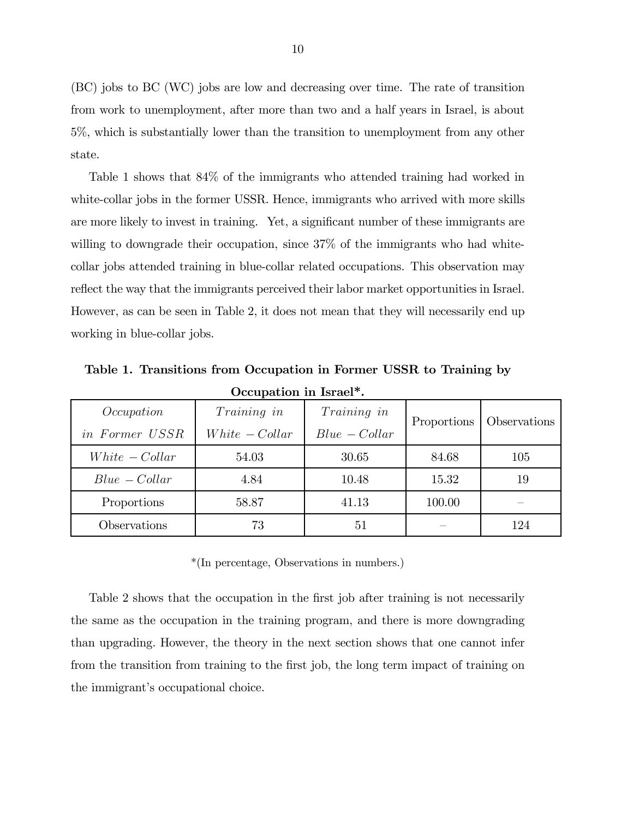(BC) jobs to BC (WC) jobs are low and decreasing over time. The rate of transition from work to unemployment, after more than two and a half years in Israel, is about 5%, which is substantially lower than the transition to unemployment from any other state.

Table 1 shows that 84% of the immigrants who attended training had worked in white-collar jobs in the former USSR. Hence, immigrants who arrived with more skills are more likely to invest in training. Yet, a significant number of these immigrants are willing to downgrade their occupation, since 37% of the immigrants who had whitecollar jobs attended training in blue-collar related occupations. This observation may reflect the way that the immigrants perceived their labor market opportunities in Israel. However, as can be seen in Table 2, it does not mean that they will necessarily end up working in blue-collar jobs.

| Occupation in Israel*. |                    |                    |             |              |  |  |  |  |  |  |
|------------------------|--------------------|--------------------|-------------|--------------|--|--|--|--|--|--|
| Occupation             | <i>Training in</i> | <i>Training in</i> | Proportions | Observations |  |  |  |  |  |  |
| in Former USSR         | $White - Collar$   | $Blue - Collar$    |             |              |  |  |  |  |  |  |
| $White - Collar$       | 54.03              | 30.65              | 84.68       | 105          |  |  |  |  |  |  |
| $Blue - Collar$        | 4.84               | 10.48              | 15.32       | 19           |  |  |  |  |  |  |
| Proportions            | 58.87              | 41.13              | 100.00      |              |  |  |  |  |  |  |
| Observations           | 73                 | 51                 |             | 124          |  |  |  |  |  |  |

Table 1. Transitions from Occupation in Former USSR to Training by

\*(In percentage, Observations in numbers.)

Table 2 shows that the occupation in the first job after training is not necessarily the same as the occupation in the training program, and there is more downgrading than upgrading. However, the theory in the next section shows that one cannot infer from the transition from training to the first job, the long term impact of training on the immigrant's occupational choice.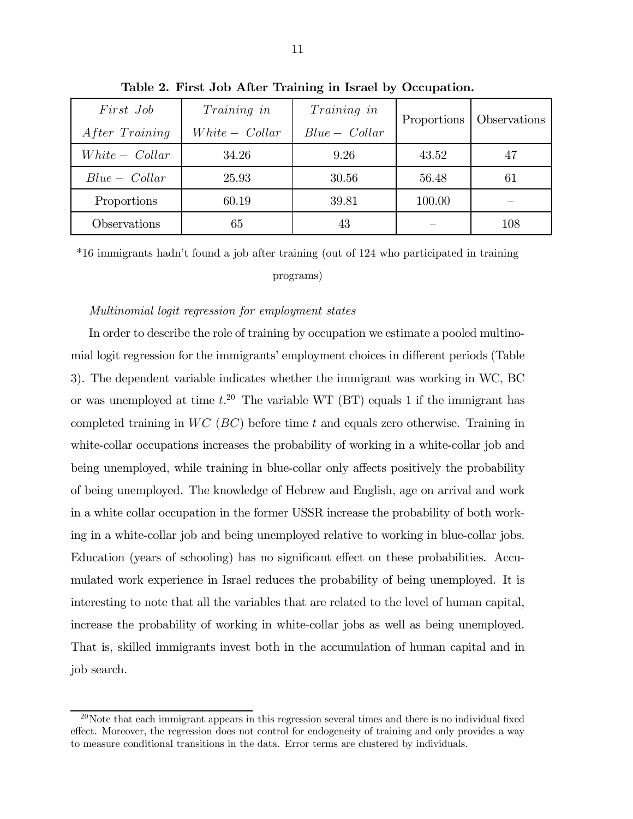| First Job<br>After Training | Training in<br>$White - Collar$ | Training in<br>$Blue - Collar$ | Proportions | <b>Observations</b> |
|-----------------------------|---------------------------------|--------------------------------|-------------|---------------------|
| $White - Collar$            | 34.26                           | 9.26                           | 43.52       |                     |
| $Blue - Collar$             | 25.93                           | 30.56                          | 56.48       | 61                  |
| Proportions                 | 60.19                           | 39.81                          | 100.00      |                     |
| Observations                | 65                              | 43                             |             | 108                 |

Table 2. First Job After Training in Israel by Occupation.

\*16 immigrants hadn't found a job after training (out of 124 who participated in training

programs)

#### Multinomial logit regression for employment states

In order to describe the role of training by occupation we estimate a pooled multinomial logit regression for the immigrants' employment choices in different periods (Table 3). The dependent variable indicates whether the immigrant was working in WC, BC or was unemployed at time  $t^{20}$ . The variable WT (BT) equals 1 if the immigrant has completed training in  $WC$  ( $BC$ ) before time t and equals zero otherwise. Training in white-collar occupations increases the probability of working in a white-collar job and being unemployed, while training in blue-collar only affects positively the probability of being unemployed. The knowledge of Hebrew and English, age on arrival and work in a white collar occupation in the former USSR increase the probability of both working in a white-collar job and being unemployed relative to working in blue-collar jobs. Education (years of schooling) has no significant effect on these probabilities. Accumulated work experience in Israel reduces the probability of being unemployed. It is interesting to note that all the variables that are related to the level of human capital, increase the probability of working in white-collar jobs as well as being unemployed. That is, skilled immigrants invest both in the accumulation of human capital and in job search.

 $20$ Note that each immigrant appears in this regression several times and there is no individual fixed effect. Moreover, the regression does not control for endogeneity of training and only provides a way to measure conditional transitions in the data. Error terms are clustered by individuals.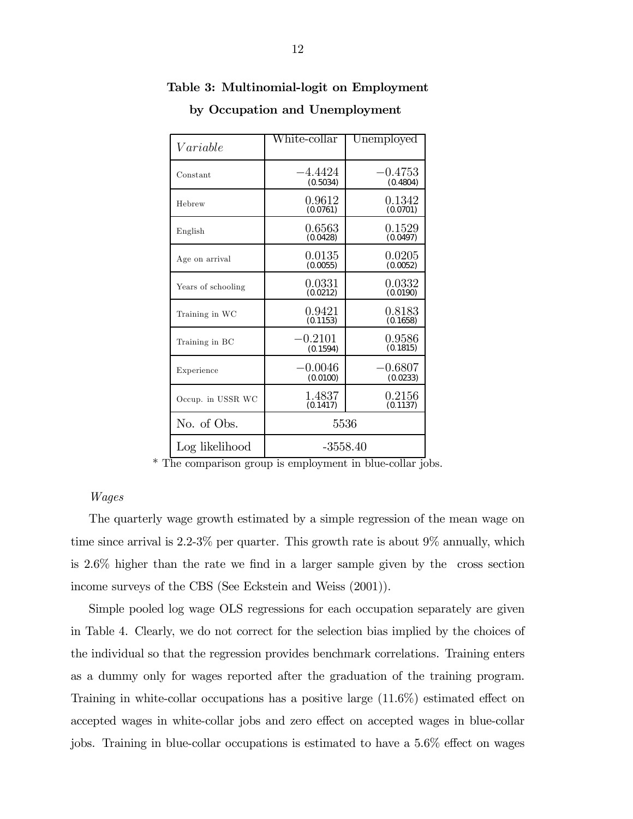|                    | White-collar          | Unemployed            |
|--------------------|-----------------------|-----------------------|
| Variable           |                       |                       |
| Constant           | $-4.4424$<br>(0.5034) | $-0.4753$<br>(0.4804) |
| Hebrew             | 0.9612<br>(0.0761)    | 0.1342<br>(0.0701)    |
| English            | 0.6563<br>(0.0428)    | 0.1529<br>(0.0497)    |
| Age on arrival     | 0.0135<br>(0.0055)    | 0.0205<br>(0.0052)    |
| Years of schooling | 0.0331<br>(0.0212)    | 0.0332<br>(0.0190)    |
| Training in WC     | 0.9421<br>(0.1153)    | 0.8183<br>(0.1658)    |
| Training in BC     | $-0.2101$<br>(0.1594) | 0.9586<br>(0.1815)    |
| Experience         | $-0.0046$<br>(0.0100) | $-0.6807$<br>(0.0233) |
| Occup. in USSR WC  | 1.4837<br>(0.1417)    | 0.2156<br>(0.1137)    |
| No. of Obs.        | 5536                  |                       |
| Log likelihood     | -3558.40              |                       |

### Table 3: Multinomial-logit on Employment

by Occupation and Unemployment

\* The comparison group is employment in blue-collar jobs.

### Wages

The quarterly wage growth estimated by a simple regression of the mean wage on time since arrival is 2.2-3% per quarter. This growth rate is about 9% annually, which is 2.6% higher than the rate we find in a larger sample given by the cross section income surveys of the CBS (See Eckstein and Weiss (2001)).

Simple pooled log wage OLS regressions for each occupation separately are given in Table 4. Clearly, we do not correct for the selection bias implied by the choices of the individual so that the regression provides benchmark correlations. Training enters as a dummy only for wages reported after the graduation of the training program. Training in white-collar occupations has a positive large (11.6%) estimated effect on accepted wages in white-collar jobs and zero effect on accepted wages in blue-collar jobs. Training in blue-collar occupations is estimated to have a 5.6% effect on wages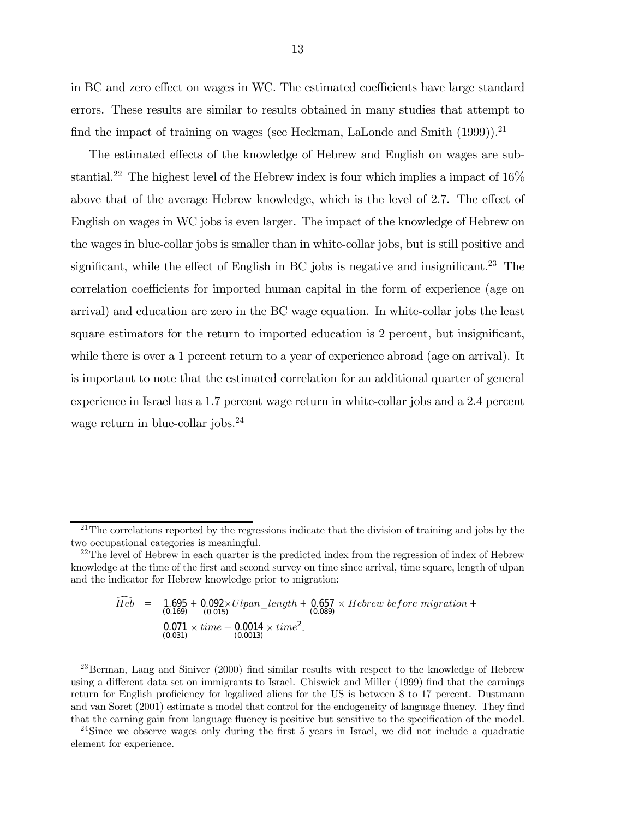in BC and zero effect on wages in WC. The estimated coefficients have large standard errors. These results are similar to results obtained in many studies that attempt to find the impact of training on wages (see Heckman, LaLonde and Smith (1999)).<sup>21</sup>

The estimated effects of the knowledge of Hebrew and English on wages are substantial.<sup>22</sup> The highest level of the Hebrew index is four which implies a impact of  $16\%$ above that of the average Hebrew knowledge, which is the level of 2.7. The effect of English on wages in WC jobs is even larger. The impact of the knowledge of Hebrew on the wages in blue-collar jobs is smaller than in white-collar jobs, but is still positive and significant, while the effect of English in BC jobs is negative and insignificant.<sup>23</sup> The correlation coefficients for imported human capital in the form of experience (age on arrival) and education are zero in the BC wage equation. In white-collar jobs the least square estimators for the return to imported education is 2 percent, but insignificant, while there is over a 1 percent return to a year of experience abroad (age on arrival). It is important to note that the estimated correlation for an additional quarter of general experience in Israel has a 1.7 percent wage return in white-collar jobs and a 2.4 percent wage return in blue-collar jobs.<sup>24</sup>

$$
\widehat{Heb} = 1.695 + 0.092 \times Ulpan\_length + 0.657 \times Hebrew\ before\ migration + (0.169)
$$
\n
$$
0.071 \times time - 0.0014 \times time^{2}.
$$
\n(0.031)

<sup>23</sup>Berman, Lang and Siniver (2000) find similar results with respect to the knowledge of Hebrew using a different data set on immigrants to Israel. Chiswick and Miller (1999) find that the earnings return for English proficiency for legalized aliens for the US is between 8 to 17 percent. Dustmann and van Soret (2001) estimate a model that control for the endogeneity of language fluency. They find that the earning gain from language fluency is positive but sensitive to the specification of the model.

<sup>24</sup>Since we observe wages only during the first 5 years in Israel, we did not include a quadratic element for experience.

 $21$ The correlations reported by the regressions indicate that the division of training and jobs by the two occupational categories is meaningful.

 $^{22}$ The level of Hebrew in each quarter is the predicted index from the regression of index of Hebrew knowledge at the time of the first and second survey on time since arrival, time square, length of ulpan and the indicator for Hebrew knowledge prior to migration: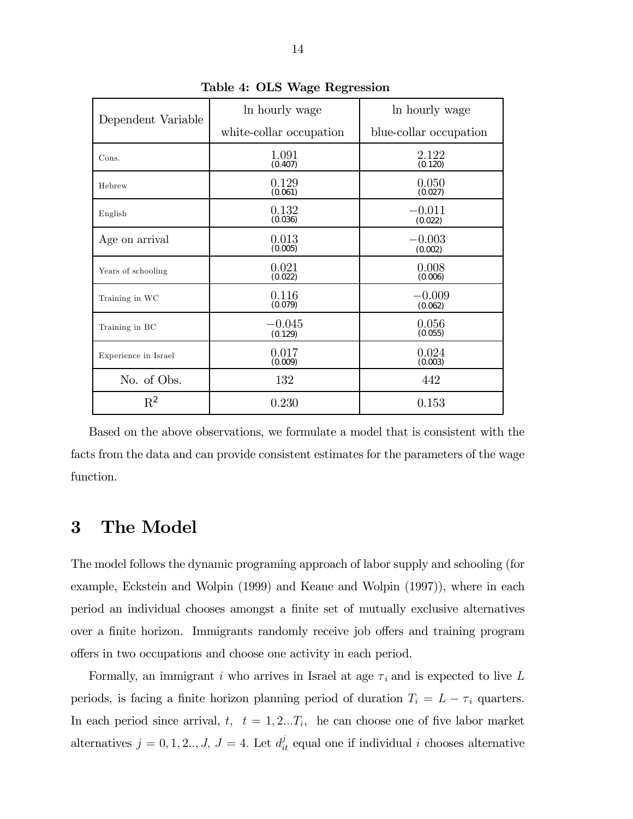| Dependent Variable   | In hourly wage          | In hourly wage         |  |  |
|----------------------|-------------------------|------------------------|--|--|
|                      | white-collar occupation | blue-collar occupation |  |  |
| Cons.                | 1.091<br>(0.407)        | 2.122<br>(0.120)       |  |  |
| Hebrew               | 0.129<br>(0.061)        | 0.050<br>(0.027)       |  |  |
| English              | 0.132<br>(0.036)        | $-0.011$<br>(0.022)    |  |  |
| Age on arrival       | 0.013<br>(0.005)        | $-0.003$<br>(0.002)    |  |  |
| Years of schooling   | 0.021<br>(0.022)        | 0.008<br>(0.006)       |  |  |
| Training in WC       | 0.116<br>(0.079)        | $-0.009$<br>(0.062)    |  |  |
| Training in BC       | $-0.045$<br>(0.129)     | 0.056<br>(0.055)       |  |  |
| Experience in Israel | 0.017<br>(0.009)        | 0.024<br>(0.003)       |  |  |
| No. of Obs.          | 132                     | 442                    |  |  |
| $\rm R^2$            | 0.230                   | 0.153                  |  |  |

Table 4: OLS Wage Regression

Based on the above observations, we formulate a model that is consistent with the facts from the data and can provide consistent estimates for the parameters of the wage function.

### 3 The Model

The model follows the dynamic programing approach of labor supply and schooling (for example, Eckstein and Wolpin (1999) and Keane and Wolpin (1997)), where in each period an individual chooses amongst a finite set of mutually exclusive alternatives over a finite horizon. Immigrants randomly receive job offers and training program offers in two occupations and choose one activity in each period.

Formally, an immigrant i who arrives in Israel at age  $\tau_i$  and is expected to live L periods, is facing a finite horizon planning period of duration  $T_i = L - \tau_i$  quarters. In each period since arrival,  $t, t = 1, 2...T_i$ , he can choose one of five labor market alternatives  $j = 0, 1, 2, \ldots, J$ ,  $J = 4$ . Let  $d_{it}^{j}$  equal one if individual i chooses alternative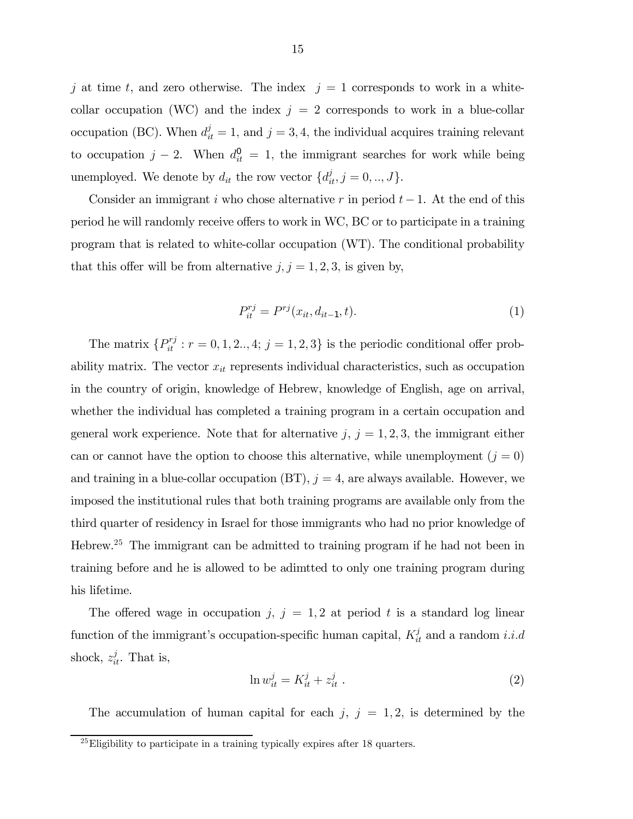j at time t, and zero otherwise. The index  $j = 1$  corresponds to work in a whitecollar occupation (WC) and the index  $j = 2$  corresponds to work in a blue-collar occupation (BC). When  $d_{it}^{j} = 1$ , and  $j = 3, 4$ , the individual acquires training relevant to occupation  $j-2$ . When  $d_{it}^0 = 1$ , the immigrant searches for work while being unemployed. We denote by  $d_{it}$  the row vector  $\{d_{it}^j, j = 0, ..., J\}$ .

Consider an immigrant i who chose alternative r in period  $t-1$ . At the end of this period he will randomly receive offers to work in WC, BC or to participate in a training program that is related to white-collar occupation (WT). The conditional probability that this offer will be from alternative  $j, j = 1, 2, 3$ , is given by,

$$
P_{it}^{rj} = P^{rj}(x_{it}, d_{it-1}, t).
$$
 (1)

The matrix  $\{P_{it}^{rj}: r = 0, 1, 2, 4; j = 1, 2, 3\}$  is the periodic conditional offer probability matrix. The vector  $x_{it}$  represents individual characteristics, such as occupation in the country of origin, knowledge of Hebrew, knowledge of English, age on arrival, whether the individual has completed a training program in a certain occupation and general work experience. Note that for alternative  $j, j = 1, 2, 3$ , the immigrant either can or cannot have the option to choose this alternative, while unemployment  $(j = 0)$ and training in a blue-collar occupation  $(BT)$ ,  $j = 4$ , are always available. However, we imposed the institutional rules that both training programs are available only from the third quarter of residency in Israel for those immigrants who had no prior knowledge of Hebrew.25 The immigrant can be admitted to training program if he had not been in training before and he is allowed to be adimtted to only one training program during his lifetime.

The offered wage in occupation j,  $j = 1, 2$  at period t is a standard log linear function of the immigrant's occupation-specific human capital,  $K_{it}^{j}$  and a random *i.i.d* shock,  $z_{it}^j$ . That is,

$$
\ln w_{it}^j = K_{it}^j + z_{it}^j \tag{2}
$$

The accumulation of human capital for each  $j, j = 1, 2$ , is determined by the

 $^{25}$ Eligibility to participate in a training typically expires after 18 quarters.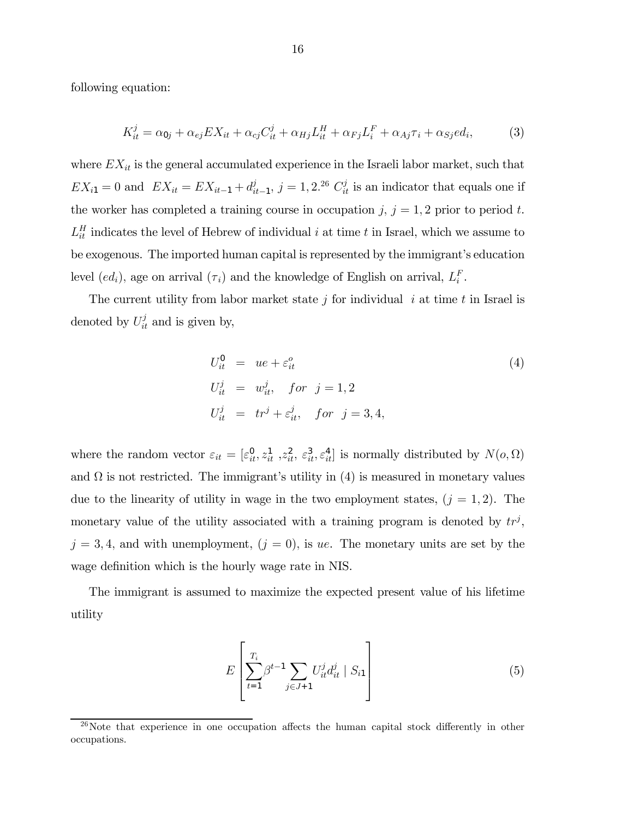following equation:

$$
K_{it}^j = \alpha_{0j} + \alpha_{ej} EX_{it} + \alpha_{cj} C_{it}^j + \alpha_{Hj} L_{it}^H + \alpha_{Fj} L_i^F + \alpha_{Aj}\tau_i + \alpha_{Sj} ed_i,
$$
 (3)

where  $EX_{it}$  is the general accumulated experience in the Israeli labor market, such that  $EX_{i1} = 0$  and  $EX_{it} = EX_{it-1} + d_{it-1}^j$ ,  $j = 1, 2^{26} C_{it}^j$  is an indicator that equals one if the worker has completed a training course in occupation j,  $j = 1, 2$  prior to period t.  $L_{it}^H$  indicates the level of Hebrew of individual i at time t in Israel, which we assume to be exogenous. The imported human capital is represented by the immigrant's education level  $(ed_i)$ , age on arrival  $(\tau_i)$  and the knowledge of English on arrival,  $L_i^F$ .

The current utility from labor market state  $j$  for individual  $i$  at time  $t$  in Israel is denoted by  $U_{it}^j$  and is given by,

$$
U_{it}^{0} = ue + \varepsilon_{it}^{o}
$$
  
\n
$$
U_{it}^{j} = w_{it}^{j}, \quad \text{for } j = 1, 2
$$
  
\n
$$
U_{it}^{j} = tr^{j} + \varepsilon_{it}^{j}, \quad \text{for } j = 3, 4,
$$
\n
$$
(4)
$$

where the random vector  $\varepsilon_{it} = [\varepsilon_{it}^0, z_{it}^1, z_{it}^2, \varepsilon_{it}^3, \varepsilon_{it}^4]$  is normally distributed by  $N(o, \Omega)$ and  $\Omega$  is not restricted. The immigrant's utility in (4) is measured in monetary values due to the linearity of utility in wage in the two employment states,  $(j = 1, 2)$ . The monetary value of the utility associated with a training program is denoted by  $tr<sup>j</sup>$ ,  $j = 3, 4$ , and with unemployment,  $(j = 0)$ , is ue. The monetary units are set by the wage definition which is the hourly wage rate in NIS.

The immigrant is assumed to maximize the expected present value of his lifetime utility

$$
E\left[\sum_{t=1}^{T_i} \beta^{t-1} \sum_{j \in J+1} U_{it}^j d_{it}^j \mid S_{i1}\right]
$$
 (5)

 $26$ Note that experience in one occupation affects the human capital stock differently in other occupations.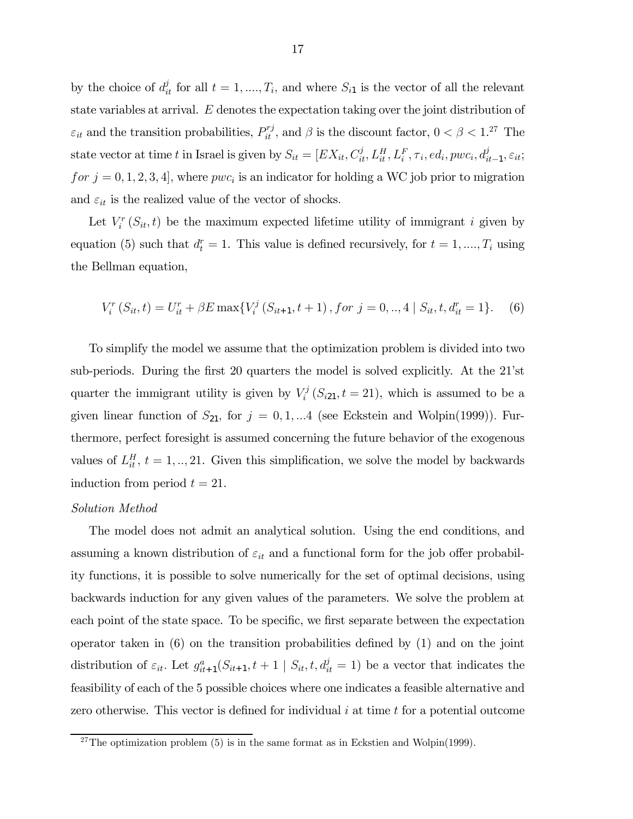by the choice of  $d_{it}^j$  for all  $t = 1, ..., T_i$ , and where  $S_{i1}$  is the vector of all the relevant state variables at arrival. E denotes the expectation taking over the joint distribution of  $\varepsilon_{it}$  and the transition probabilities,  $P_{it}^{rj}$ , and  $\beta$  is the discount factor,  $0 < \beta < 1.^{27}$  The state vector at time t in Israel is given by  $S_{it} = [EX_{it}, C_{it}^j, L_{it}^H, L_i^F, \tau_i, ed_i, pwc_i, d_{it-1}^j, \varepsilon_{it};$ for  $j = 0, 1, 2, 3, 4$ , where  $pwc_i$  is an indicator for holding a WC job prior to migration and  $\varepsilon_{it}$  is the realized value of the vector of shocks.

Let  $V_i^r(S_{it}, t)$  be the maximum expected lifetime utility of immigrant i given by equation (5) such that  $d_t^r = 1$ . This value is defined recursively, for  $t = 1, ..., T_i$  using the Bellman equation,

$$
V_i^r(S_{it}, t) = U_{it}^r + \beta E \max\{V_i^j(S_{it+1}, t+1), \text{ for } j = 0, ..., 4 \mid S_{it}, t, d_{it}^r = 1\}.
$$
 (6)

To simplify the model we assume that the optimization problem is divided into two sub-periods. During the first 20 quarters the model is solved explicitly. At the 21'st quarter the immigrant utility is given by  $V_i^j(S_{i21}, t = 21)$ , which is assumed to be a given linear function of  $S_{21}$ , for  $j = 0, 1, ...4$  (see Eckstein and Wolpin(1999)). Furthermore, perfect foresight is assumed concerning the future behavior of the exogenous values of  $L_{it}^H$ ,  $t = 1, ..., 21$ . Given this simplification, we solve the model by backwards induction from period  $t = 21$ .

#### Solution Method

The model does not admit an analytical solution. Using the end conditions, and assuming a known distribution of  $\varepsilon_{it}$  and a functional form for the job offer probability functions, it is possible to solve numerically for the set of optimal decisions, using backwards induction for any given values of the parameters. We solve the problem at each point of the state space. To be specific, we first separate between the expectation operator taken in  $(6)$  on the transition probabilities defined by  $(1)$  and on the joint distribution of  $\varepsilon_{it}$ . Let  $g_{it+1}^a(S_{it+1}, t+1 \mid S_{it}, t, d_{it}^j = 1)$  be a vector that indicates the feasibility of each of the 5 possible choices where one indicates a feasible alternative and zero otherwise. This vector is defined for individual  $i$  at time  $t$  for a potential outcome

<sup>&</sup>lt;sup>27</sup>The optimization problem (5) is in the same format as in Eckstien and Wolpin(1999).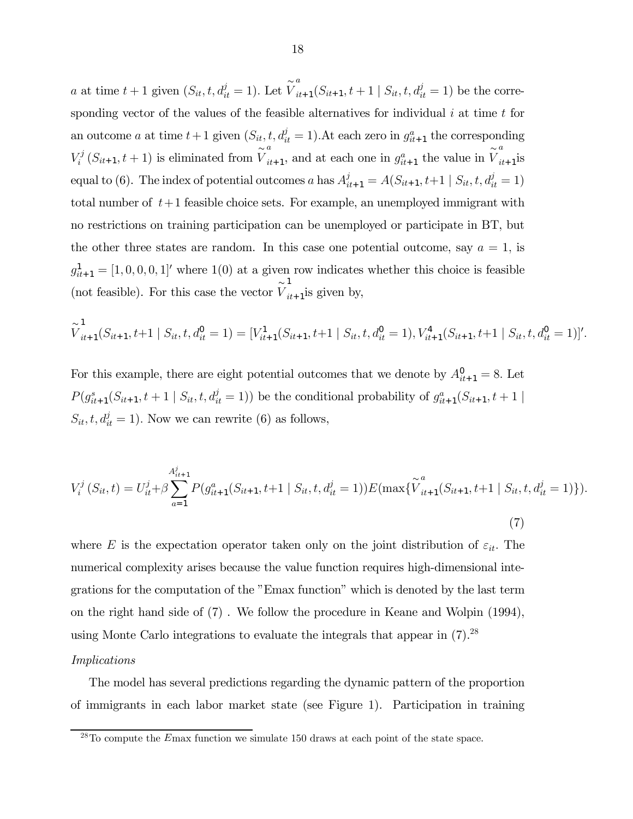*a* at time  $t + 1$  given  $(S_{it}, t, d_{it}^j = 1)$ . Let  $\widetilde{V}$  $\sum_{it+1}^{a} (S_{it+1}, t+1 | S_{it}, t, d_{it}^{j} = 1)$  be the corresponding vector of the values of the feasible alternatives for individual  $i$  at time  $t$  for an outcome a at time  $t+1$  given  $(S_{it}, t, d_{it}^j = 1)$ . At each zero in  $g_{it+1}^a$  the corresponding  $V_i^j(S_{it+1}, t+1)$  is eliminated from  $\widetilde{V}$  $\sum_{it+1}^{a}$ , and at each one in  $g_{it+1}^{a}$  the value in  $\widetilde{V}$ a  $i t+1$ <sup>is</sup> equal to (6). The index of potential outcomes a has  $A_{it+1}^j = A(S_{it+1}, t+1 \mid S_{it}, t, d_{it}^j = 1)$ total number of  $t+1$  feasible choice sets. For example, an unemployed immigrant with no restrictions on training participation can be unemployed or participate in BT, but the other three states are random. In this case one potential outcome, say  $a = 1$ , is  $g_{it+1}^1 = [1, 0, 0, 0, 1]'$  where  $1(0)$  at a given row indicates whether this choice is feasible (not feasible). For this case the vector  $\stackrel{\sim}{V}$ 1  $i_{t+1}$  is given by,

$$
\widetilde{V}_{it+1}^1(S_{it+1}, t+1 \mid S_{it}, t, d_{it}^0 = 1) = [V_{it+1}^1(S_{it+1}, t+1 \mid S_{it}, t, d_{it}^0 = 1), V_{it+1}^4(S_{it+1}, t+1 \mid S_{it}, t, d_{it}^0 = 1)]'.
$$

For this example, there are eight potential outcomes that we denote by  $A_{it+1}^0 = 8$ . Let  $P(g_{it+1}^s(S_{it+1}, t+1 | S_{it}, t, d_{it}^j = 1))$  be the conditional probability of  $g_{it+1}^a(S_{it+1}, t+1 | S_{it}$  $S_{it}, t, d_{it}^j = 1$ ). Now we can rewrite (6) as follows,

$$
V_i^j(S_{it}, t) = U_{it}^j + \beta \sum_{a=1}^{A_{it+1}^j} P(g_{it+1}^a(S_{it+1}, t+1 \mid S_{it}, t, d_{it}^j = 1)) E(\max\{\tilde{V}_{it+1}^a(S_{it+1}, t+1 \mid S_{it}, t, d_{it}^j = 1)\}).
$$
\n(7)

where E is the expectation operator taken only on the joint distribution of  $\varepsilon_{it}$ . The numerical complexity arises because the value function requires high-dimensional integrations for the computation of the "Emax function" which is denoted by the last term on the right hand side of (7) . We follow the procedure in Keane and Wolpin (1994), using Monte Carlo integrations to evaluate the integrals that appear in (7).28

#### Implications

The model has several predictions regarding the dynamic pattern of the proportion of immigrants in each labor market state (see Figure 1). Participation in training

 $28$ To compute the Emax function we simulate 150 draws at each point of the state space.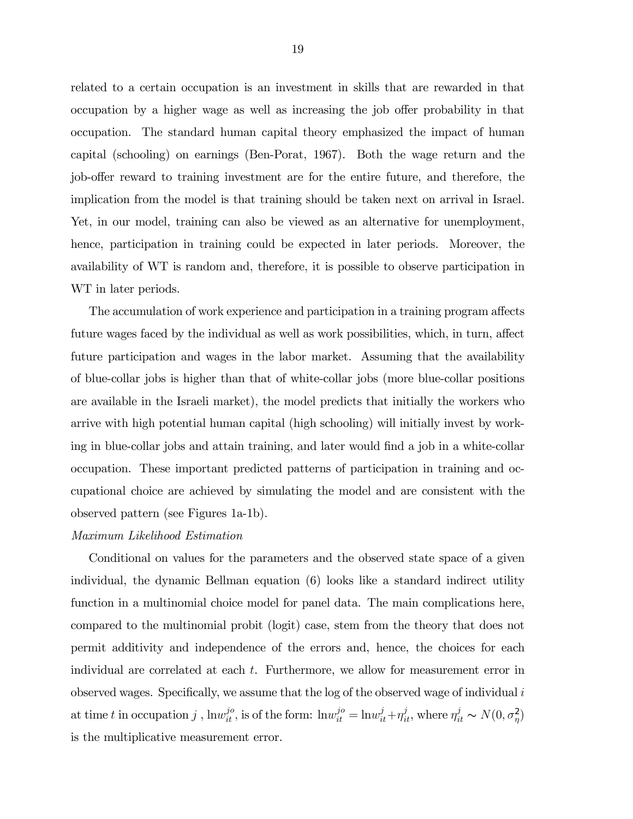related to a certain occupation is an investment in skills that are rewarded in that occupation by a higher wage as well as increasing the job offer probability in that occupation. The standard human capital theory emphasized the impact of human capital (schooling) on earnings (Ben-Porat, 1967). Both the wage return and the job-offer reward to training investment are for the entire future, and therefore, the implication from the model is that training should be taken next on arrival in Israel. Yet, in our model, training can also be viewed as an alternative for unemployment, hence, participation in training could be expected in later periods. Moreover, the availability of WT is random and, therefore, it is possible to observe participation in WT in later periods.

The accumulation of work experience and participation in a training program affects future wages faced by the individual as well as work possibilities, which, in turn, affect future participation and wages in the labor market. Assuming that the availability of blue-collar jobs is higher than that of white-collar jobs (more blue-collar positions are available in the Israeli market), the model predicts that initially the workers who arrive with high potential human capital (high schooling) will initially invest by working in blue-collar jobs and attain training, and later would find a job in a white-collar occupation. These important predicted patterns of participation in training and occupational choice are achieved by simulating the model and are consistent with the observed pattern (see Figures 1a-1b).

#### Maximum Likelihood Estimation

Conditional on values for the parameters and the observed state space of a given individual, the dynamic Bellman equation (6) looks like a standard indirect utility function in a multinomial choice model for panel data. The main complications here, compared to the multinomial probit (logit) case, stem from the theory that does not permit additivity and independence of the errors and, hence, the choices for each individual are correlated at each t. Furthermore, we allow for measurement error in observed wages. Specifically, we assume that the log of the observed wage of individual  $i$ at time t in occupation j,  $\lim_{it}^{j_0}$ , is of the form:  $\lim_{it}^{j_0} = \lim_{it}^{j} + \eta_{it}^j$ , where  $\eta_{it}^j \sim N(0, \sigma_\eta^2)$ is the multiplicative measurement error.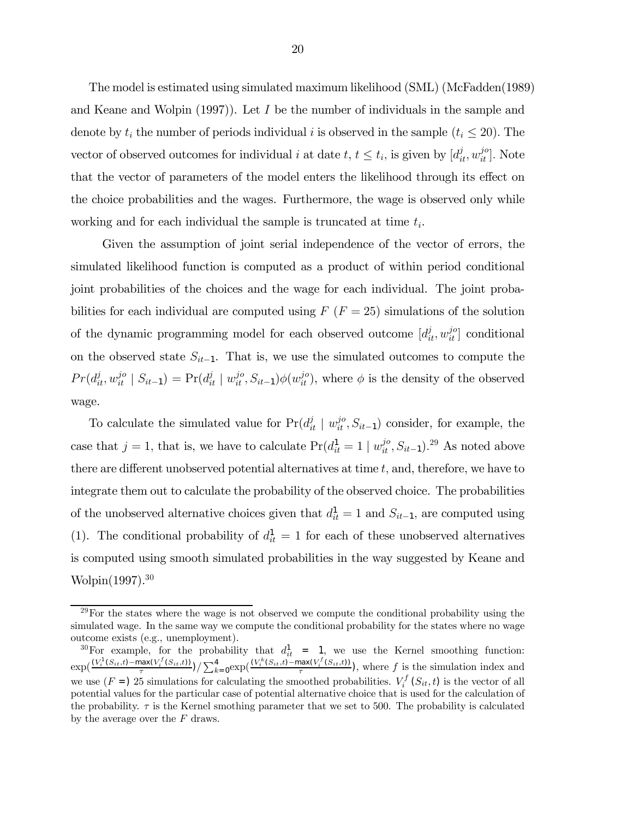The model is estimated using simulated maximum likelihood (SML) (McFadden(1989) and Keane and Wolpin  $(1997)$ . Let I be the number of individuals in the sample and denote by  $t_i$  the number of periods individual i is observed in the sample  $(t_i \leq 20)$ . The vector of observed outcomes for individual *i* at date  $t, t \leq t_i$ , is given by  $[d_{it}^j, w_{it}^{j_0}]$ . Note that the vector of parameters of the model enters the likelihood through its effect on the choice probabilities and the wages. Furthermore, the wage is observed only while working and for each individual the sample is truncated at time  $t_i$ .

Given the assumption of joint serial independence of the vector of errors, the simulated likelihood function is computed as a product of within period conditional joint probabilities of the choices and the wage for each individual. The joint probabilities for each individual are computed using  $F(F = 25)$  simulations of the solution of the dynamic programming model for each observed outcome  $[d_{it}^{j}, w_{it}^{jo}]$  conditional on the observed state  $S_{it-1}$ . That is, we use the simulated outcomes to compute the  $Pr(d_{it}^j, w_{it}^{jo} | S_{it-1}) = Pr(d_{it}^j | w_{it}^{jo}, S_{it-1})\phi(w_{it}^{jo}),$  where  $\phi$  is the density of the observed wage.

To calculate the simulated value for  $Pr(d_{it}^j | w_{it}^{jo}, S_{it-1})$  consider, for example, the case that  $j = 1$ , that is, we have to calculate  $Pr(d_{it}^1 = 1 \mid w_{it}^{j_o}, S_{it-1})$ .<sup>29</sup> As noted above there are different unobserved potential alternatives at time t, and, therefore, we have to integrate them out to calculate the probability of the observed choice. The probabilities of the unobserved alternative choices given that  $d_{it}^1 = 1$  and  $S_{it-1}$ , are computed using (1). The conditional probability of  $d_{it}^1 = 1$  for each of these unobserved alternatives is computed using smooth simulated probabilities in the way suggested by Keane and Wolpin(1997).30

 $29$  For the states where the wage is not observed we compute the conditional probability using the simulated wage. In the same way we compute the conditional probability for the states where no wage outcome exists (e.g., unemployment).

<sup>&</sup>lt;sup>30</sup>For example, for the probability that  $d_{it}^1 = 1$ , we use the Kernel smoothing function:  $\exp(\frac{(V_i^1(S_{it},t)-\max(V_i^f(S_{it},t)))}{\tau})/\sum_{k=0}^4 \exp(\frac{(V_i^k(S_{it},t)-\max(V_i^f(S_{it},t)))}{\tau})$ , where f is the simulation index and we use  $(F =)$  25 simulations for calculating the smoothed probabilities.  $V_i^f(S_{it}, t)$  is the vector of all potential values for the particular case of potential alternative choice that is used for the calculation of the probability.  $\tau$  is the Kernel smothing parameter that we set to 500. The probability is calculated by the average over the  $F$  draws.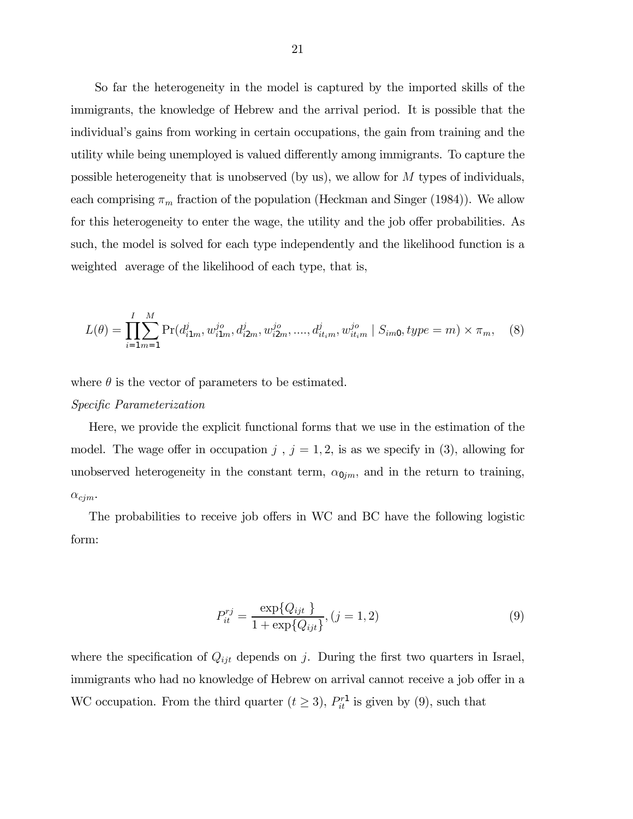So far the heterogeneity in the model is captured by the imported skills of the immigrants, the knowledge of Hebrew and the arrival period. It is possible that the individual's gains from working in certain occupations, the gain from training and the utility while being unemployed is valued differently among immigrants. To capture the possible heterogeneity that is unobserved (by us), we allow for M types of individuals, each comprising  $\pi_m$  fraction of the population (Heckman and Singer (1984)). We allow for this heterogeneity to enter the wage, the utility and the job offer probabilities. As such, the model is solved for each type independently and the likelihood function is a weighted average of the likelihood of each type, that is,

$$
L(\theta) = \prod_{i=1}^{I} \sum_{m=1}^{M} \Pr(d_{i1m}^{j}, w_{i1m}^{j o}, d_{i2m}^{j}, w_{i2m}^{j o}, \dots, d_{it_{im}}^{j} w_{it_{im}}^{j o} | S_{im0}, type = m) \times \pi_{m}, \quad (8)
$$

where  $\theta$  is the vector of parameters to be estimated.

### Specific Parameterization

Here, we provide the explicit functional forms that we use in the estimation of the model. The wage offer in occupation  $j$ ,  $j = 1, 2$ , is as we specify in (3), allowing for unobserved heterogeneity in the constant term,  $\alpha_{0jm}$ , and in the return to training,  $\alpha_{cjm}$ .

The probabilities to receive job offers in WC and BC have the following logistic form:

$$
P_{it}^{rj} = \frac{\exp\{Q_{ijt}\}}{1 + \exp\{Q_{ijt}\}}, (j = 1, 2)
$$
\n(9)

where the specification of  $Q_{ijt}$  depends on j. During the first two quarters in Israel, immigrants who had no knowledge of Hebrew on arrival cannot receive a job offer in a WC occupation. From the third quarter  $(t \geq 3)$ ,  $P_{it}^{r_1}$  is given by (9), such that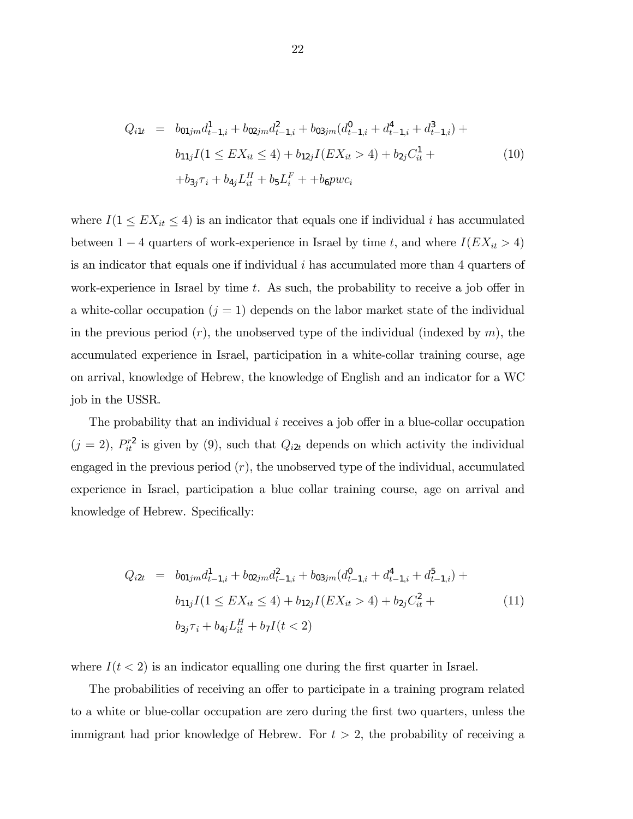$$
Q_{i1t} = b_{01jm}d_{t-1,i}^1 + b_{02jm}d_{t-1,i}^2 + b_{03jm}(d_{t-1,i}^0 + d_{t-1,i}^4 + d_{t-1,i}^3) +
$$
  
\n
$$
b_{11j}I(1 \le EX_{it} \le 4) + b_{12j}I(EX_{it} > 4) + b_{2j}C_{it}^1 +
$$
  
\n
$$
+b_{3j}\tau_i + b_{4j}L_{it}^H + b_5L_i^F + b_{6p}wc_i
$$
\n(10)

where  $I(1 \leq EX_{it} \leq 4)$  is an indicator that equals one if individual i has accumulated between  $1 - 4$  quarters of work-experience in Israel by time t, and where  $I(EX_{it} > 4)$ is an indicator that equals one if individual  $i$  has accumulated more than 4 quarters of work-experience in Israel by time  $t$ . As such, the probability to receive a job offer in a white-collar occupation  $(j = 1)$  depends on the labor market state of the individual in the previous period  $(r)$ , the unobserved type of the individual (indexed by m), the accumulated experience in Israel, participation in a white-collar training course, age on arrival, knowledge of Hebrew, the knowledge of English and an indicator for a WC job in the USSR.

The probability that an individual i receives a job offer in a blue-collar occupation  $(j = 2)$ ,  $P_{it}^{r2}$  is given by (9), such that  $Q_{i2t}$  depends on which activity the individual engaged in the previous period  $(r)$ , the unobserved type of the individual, accumulated experience in Israel, participation a blue collar training course, age on arrival and knowledge of Hebrew. Specifically:

$$
Q_{i2t} = b_{01jm}d_{t-1,i}^1 + b_{02jm}d_{t-1,i}^2 + b_{03jm}(d_{t-1,i}^0 + d_{t-1,i}^4 + d_{t-1,i}^5) +
$$
  
\n
$$
b_{11j}I(1 \le EX_{it} \le 4) + b_{12j}I(EX_{it} > 4) + b_{2j}C_{it}^2 +
$$
  
\n
$$
b_{3j}\tau_i + b_{4j}L_{it}^H + b_{7I}(t < 2)
$$
\n(11)

where  $I(t < 2)$  is an indicator equalling one during the first quarter in Israel.

The probabilities of receiving an offer to participate in a training program related to a white or blue-collar occupation are zero during the first two quarters, unless the immigrant had prior knowledge of Hebrew. For  $t > 2$ , the probability of receiving a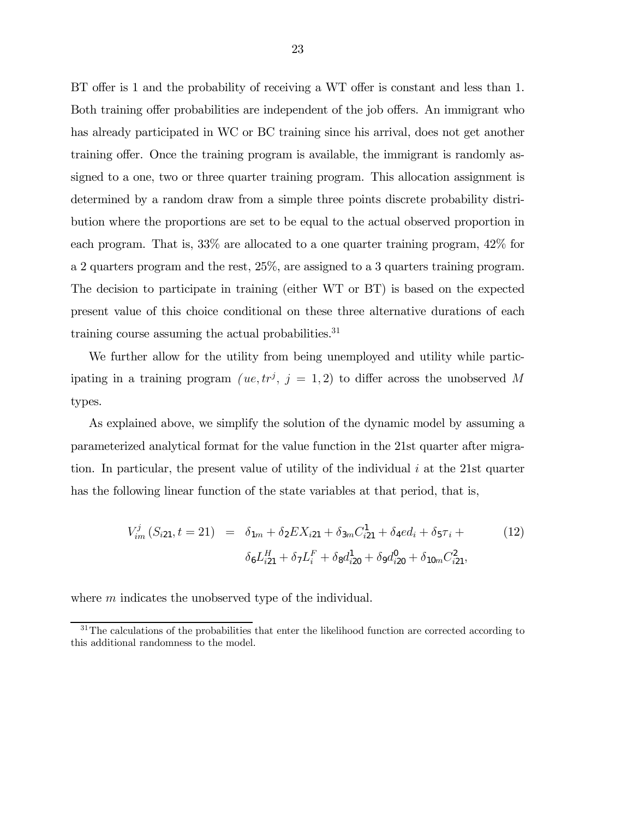BT offer is 1 and the probability of receiving a WT offer is constant and less than 1. Both training offer probabilities are independent of the job offers. An immigrant who has already participated in WC or BC training since his arrival, does not get another training offer. Once the training program is available, the immigrant is randomly assigned to a one, two or three quarter training program. This allocation assignment is determined by a random draw from a simple three points discrete probability distribution where the proportions are set to be equal to the actual observed proportion in each program. That is, 33% are allocated to a one quarter training program, 42% for a 2 quarters program and the rest, 25%, are assigned to a 3 quarters training program. The decision to participate in training (either WT or BT) is based on the expected present value of this choice conditional on these three alternative durations of each training course assuming the actual probabilities.<sup>31</sup>

We further allow for the utility from being unemployed and utility while participating in a training program  $(ue, tr^j, j = 1, 2)$  to differ across the unobserved M types.

As explained above, we simplify the solution of the dynamic model by assuming a parameterized analytical format for the value function in the 21st quarter after migration. In particular, the present value of utility of the individual  $i$  at the 21st quarter has the following linear function of the state variables at that period, that is,

$$
V_{im}^{j}(S_{i21}, t = 21) = \delta_{1m} + \delta_2 EX_{i21} + \delta_{3m} C_{i21}^{1} + \delta_4 ed_i + \delta_5 \tau_i +
$$

$$
\delta_6 L_{i21}^{H} + \delta_7 L_i^{F} + \delta_8 d_{i20}^{1} + \delta_9 d_{i20}^{0} + \delta_{10m} C_{i21}^{2},
$$
(12)

where m indicates the unobserved type of the individual.

 $31$ The calculations of the probabilities that enter the likelihood function are corrected according to this additional randomness to the model.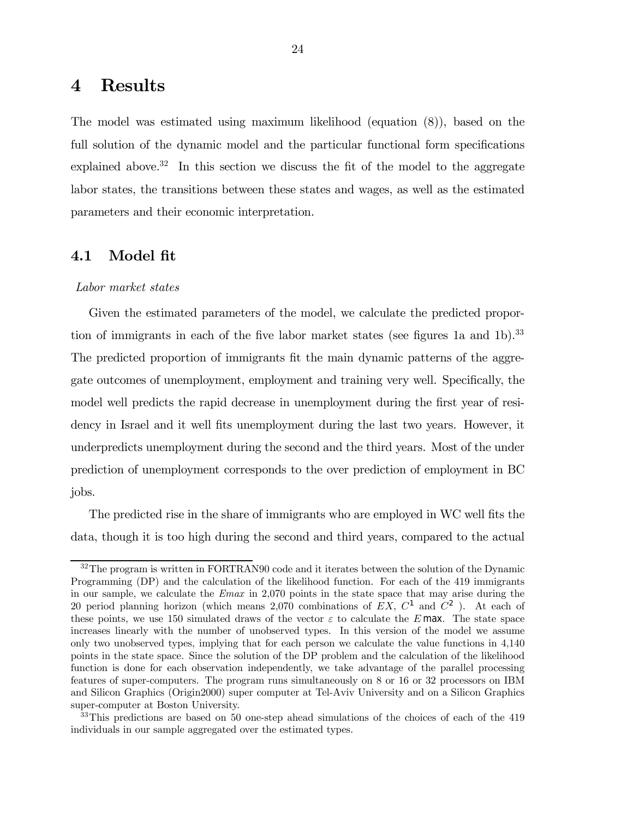### 4 Results

The model was estimated using maximum likelihood (equation (8)), based on the full solution of the dynamic model and the particular functional form specifications explained above.<sup>32</sup> In this section we discuss the fit of the model to the aggregate labor states, the transitions between these states and wages, as well as the estimated parameters and their economic interpretation.

### 4.1 Model fit

### Labor market states

Given the estimated parameters of the model, we calculate the predicted proportion of immigrants in each of the five labor market states (see figures 1a and 1b).<sup>33</sup> The predicted proportion of immigrants fit the main dynamic patterns of the aggregate outcomes of unemployment, employment and training very well. Specifically, the model well predicts the rapid decrease in unemployment during the first year of residency in Israel and it well fits unemployment during the last two years. However, it underpredicts unemployment during the second and the third years. Most of the under prediction of unemployment corresponds to the over prediction of employment in BC jobs.

The predicted rise in the share of immigrants who are employed in WC well fits the data, though it is too high during the second and third years, compared to the actual

 $32$ The program is written in FORTRAN90 code and it iterates between the solution of the Dynamic Programming (DP) and the calculation of the likelihood function. For each of the 419 immigrants in our sample, we calculate the Emax in 2,070 points in the state space that may arise during the 20 period planning horizon (which means 2,070 combinations of  $EX, C<sup>1</sup>$  and  $C<sup>2</sup>$ ). At each of these points, we use 150 simulated draws of the vector  $\varepsilon$  to calculate the E max. The state space increases linearly with the number of unobserved types. In this version of the model we assume only two unobserved types, implying that for each person we calculate the value functions in 4,140 points in the state space. Since the solution of the DP problem and the calculation of the likelihood function is done for each observation independently, we take advantage of the parallel processing features of super-computers. The program runs simultaneously on 8 or 16 or 32 processors on IBM and Silicon Graphics (Origin2000) super computer at Tel-Aviv University and on a Silicon Graphics super-computer at Boston University.

 $33$ This predictions are based on 50 one-step ahead simulations of the choices of each of the 419 individuals in our sample aggregated over the estimated types.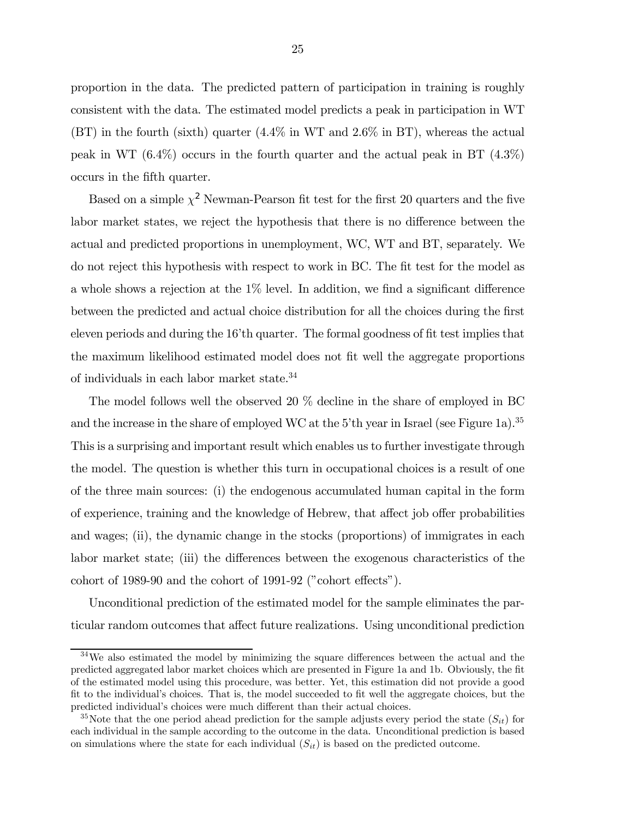proportion in the data. The predicted pattern of participation in training is roughly consistent with the data. The estimated model predicts a peak in participation in WT (BT) in the fourth (sixth) quarter (4.4% in WT and 2.6% in BT), whereas the actual peak in WT (6.4%) occurs in the fourth quarter and the actual peak in BT (4.3%) occurs in the fifth quarter.

Based on a simple  $\chi^2$  Newman-Pearson fit test for the first 20 quarters and the five labor market states, we reject the hypothesis that there is no difference between the actual and predicted proportions in unemployment, WC, WT and BT, separately. We do not reject this hypothesis with respect to work in BC. The fit test for the model as a whole shows a rejection at the 1% level. In addition, we find a significant difference between the predicted and actual choice distribution for all the choices during the first eleven periods and during the 16'th quarter. The formal goodness of fit test implies that the maximum likelihood estimated model does not fit well the aggregate proportions of individuals in each labor market state. $34$ 

The model follows well the observed 20 % decline in the share of employed in BC and the increase in the share of employed WC at the 5'th year in Israel (see Figure 1a).<sup>35</sup> This is a surprising and important result which enables us to further investigate through the model. The question is whether this turn in occupational choices is a result of one of the three main sources: (i) the endogenous accumulated human capital in the form of experience, training and the knowledge of Hebrew, that affect job offer probabilities and wages; (ii), the dynamic change in the stocks (proportions) of immigrates in each labor market state; (iii) the differences between the exogenous characteristics of the cohort of 1989-90 and the cohort of 1991-92 ("cohort effects").

Unconditional prediction of the estimated model for the sample eliminates the particular random outcomes that affect future realizations. Using unconditional prediction

 $34$ We also estimated the model by minimizing the square differences between the actual and the predicted aggregated labor market choices which are presented in Figure 1a and 1b. Obviously, the fit of the estimated model using this procedure, was better. Yet, this estimation did not provide a good fit to the individual's choices. That is, the model succeeded to fit well the aggregate choices, but the predicted individual's choices were much different than their actual choices.

<sup>&</sup>lt;sup>35</sup>Note that the one period ahead prediction for the sample adjusts every period the state  $(S_{it})$  for each individual in the sample according to the outcome in the data. Unconditional prediction is based on simulations where the state for each individual  $(S_{it})$  is based on the predicted outcome.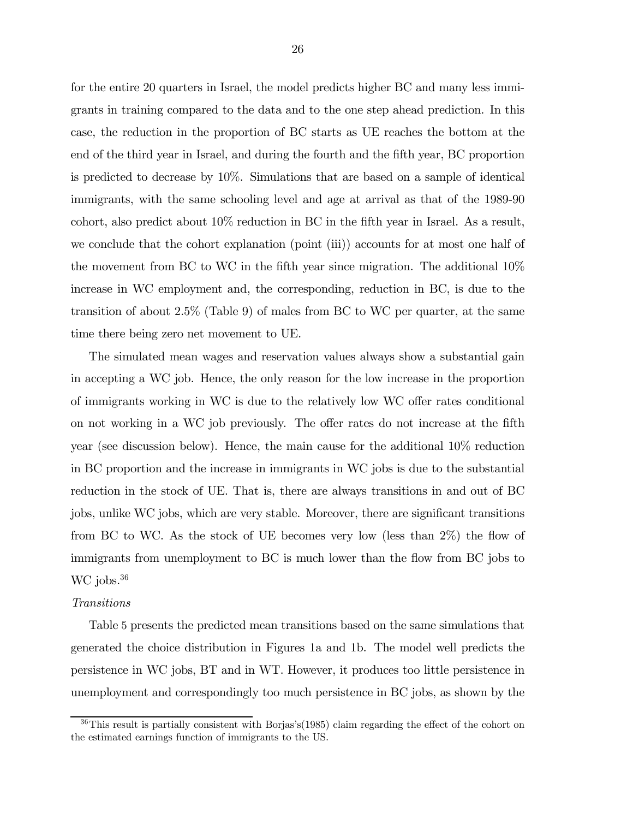for the entire 20 quarters in Israel, the model predicts higher BC and many less immigrants in training compared to the data and to the one step ahead prediction. In this case, the reduction in the proportion of BC starts as UE reaches the bottom at the end of the third year in Israel, and during the fourth and the fifth year, BC proportion is predicted to decrease by 10%. Simulations that are based on a sample of identical immigrants, with the same schooling level and age at arrival as that of the 1989-90 cohort, also predict about 10% reduction in BC in the fifth year in Israel. As a result, we conclude that the cohort explanation (point (iii)) accounts for at most one half of the movement from BC to WC in the fifth year since migration. The additional 10% increase in WC employment and, the corresponding, reduction in BC, is due to the transition of about 2.5% (Table 9) of males from BC to WC per quarter, at the same time there being zero net movement to UE.

The simulated mean wages and reservation values always show a substantial gain in accepting a WC job. Hence, the only reason for the low increase in the proportion of immigrants working in WC is due to the relatively low WC offer rates conditional on not working in a WC job previously. The offer rates do not increase at the fifth year (see discussion below). Hence, the main cause for the additional 10% reduction in BC proportion and the increase in immigrants in WC jobs is due to the substantial reduction in the stock of UE. That is, there are always transitions in and out of BC jobs, unlike WC jobs, which are very stable. Moreover, there are significant transitions from BC to WC. As the stock of UE becomes very low (less than 2%) the flow of immigrants from unemployment to BC is much lower than the flow from BC jobs to WC jobs.<sup>36</sup>

#### Transitions

Table 5 presents the predicted mean transitions based on the same simulations that generated the choice distribution in Figures 1a and 1b. The model well predicts the persistence in WC jobs, BT and in WT. However, it produces too little persistence in unemployment and correspondingly too much persistence in BC jobs, as shown by the

<sup>36</sup>This result is partially consistent with Borjas's(1985) claim regarding the effect of the cohort on the estimated earnings function of immigrants to the US.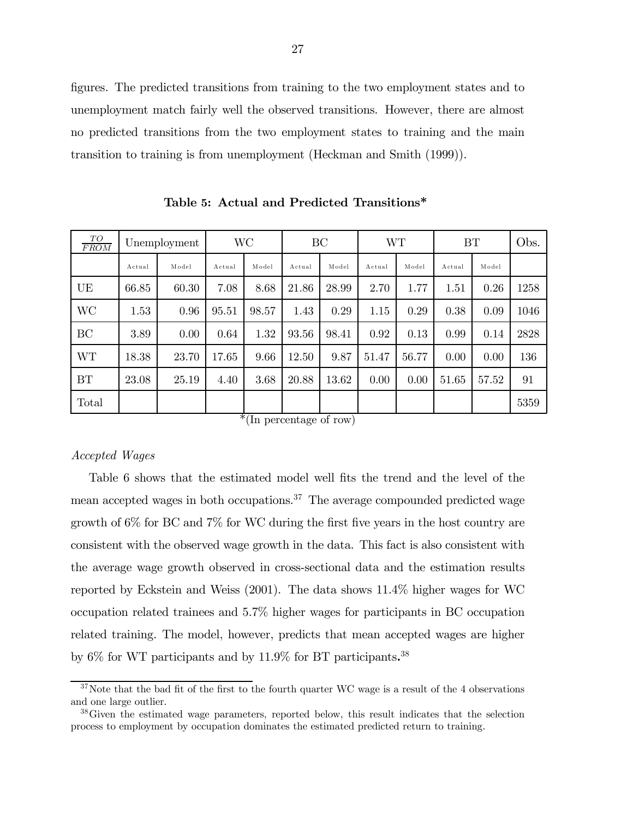figures. The predicted transitions from training to the two employment states and to unemployment match fairly well the observed transitions. However, there are almost no predicted transitions from the two employment states to training and the main transition to training is from unemployment (Heckman and Smith (1999)).

| TO<br><b>FROM</b> |        | Unemployment | WС     |       | BC     |       | WТ     |       | BT     |       | Obs. |
|-------------------|--------|--------------|--------|-------|--------|-------|--------|-------|--------|-------|------|
|                   | Actual | Model        | Actual | Model | Actual | Model | Actual | Model | Actual | Model |      |
| UE                | 66.85  | 60.30        | 7.08   | 8.68  | 21.86  | 28.99 | 2.70   | 1.77  | 1.51   | 0.26  | 1258 |
| <b>WC</b>         | 1.53   | 0.96         | 95.51  | 98.57 | 1.43   | 0.29  | 1.15   | 0.29  | 0.38   | 0.09  | 1046 |
| BC                | 3.89   | 0.00         | 0.64   | 1.32  | 93.56  | 98.41 | 0.92   | 0.13  | 0.99   | 0.14  | 2828 |
| <b>WT</b>         | 18.38  | 23.70        | 17.65  | 9.66  | 12.50  | 9.87  | 51.47  | 56.77 | 0.00   | 0.00  | 136  |
| <b>BT</b>         | 23.08  | 25.19        | 4.40   | 3.68  | 20.88  | 13.62 | 0.00   | 0.00  | 51.65  | 57.52 | 91   |
| Total             |        |              |        |       |        |       |        |       |        |       | 5359 |

Table 5: Actual and Predicted Transitions\*

\*(In percentage of row)

### Accepted Wages

Table 6 shows that the estimated model well fits the trend and the level of the mean accepted wages in both occupations.<sup>37</sup> The average compounded predicted wage growth of 6% for BC and 7% for WC during the first five years in the host country are consistent with the observed wage growth in the data. This fact is also consistent with the average wage growth observed in cross-sectional data and the estimation results reported by Eckstein and Weiss (2001). The data shows 11.4% higher wages for WC occupation related trainees and 5.7% higher wages for participants in BC occupation related training. The model, however, predicts that mean accepted wages are higher by 6% for WT participants and by 11.9% for BT participants.<sup>38</sup>

 $37$ Note that the bad fit of the first to the fourth quarter WC wage is a result of the 4 observations and one large outlier.

<sup>&</sup>lt;sup>38</sup>Given the estimated wage parameters, reported below, this result indicates that the selection process to employment by occupation dominates the estimated predicted return to training.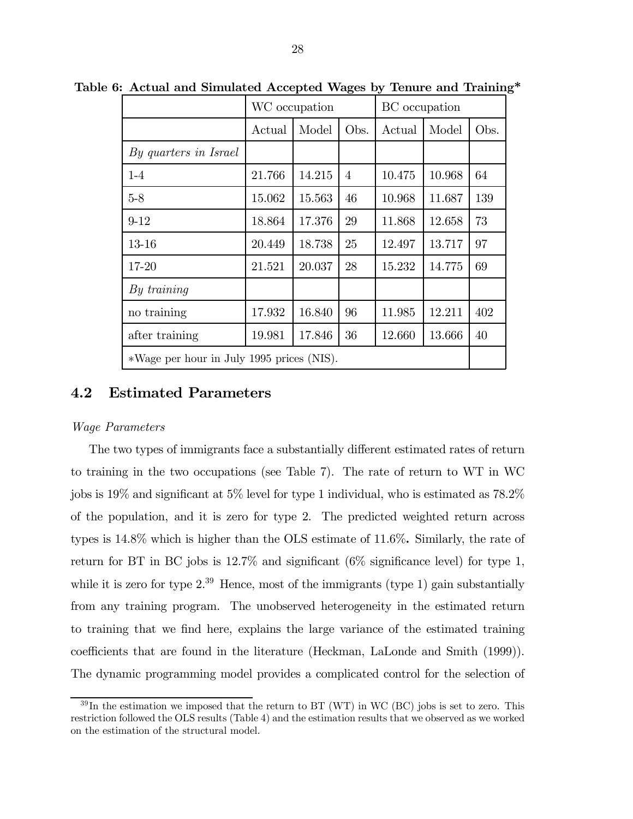|                                           |        | WC occupation |                | BC occupation |        |      |
|-------------------------------------------|--------|---------------|----------------|---------------|--------|------|
|                                           | Actual | Model         | Obs.           | Actual        | Model  | Obs. |
| By quarters in Israel                     |        |               |                |               |        |      |
| $1-4$                                     | 21.766 | 14.215        | $\overline{4}$ | 10.475        | 10.968 | 64   |
| $5-8$                                     | 15.062 | 15.563        | 46             | 10.968        | 11.687 | 139  |
| $9 - 12$                                  | 18.864 | 17.376        | 29             | 11.868        | 12.658 | 73   |
| $13 - 16$                                 | 20.449 | 18.738        | 25             | 12.497        | 13.717 | 97   |
| 17-20                                     | 21.521 | 20.037        | 28             | 15.232        | 14.775 | 69   |
| By training                               |        |               |                |               |        |      |
| no training                               | 17.932 | 16.840        | 96             | 11.985        | 12.211 | 402  |
| after training                            | 19.981 | 17.846        | 36             | 12.660        | 13.666 | 40   |
| *Wage per hour in July 1995 prices (NIS). |        |               |                |               |        |      |

Table 6: Actual and Simulated Accepted Wages by Tenure and Training\*

### 4.2 Estimated Parameters

#### Wage Parameters

The two types of immigrants face a substantially different estimated rates of return to training in the two occupations (see Table 7). The rate of return to WT in WC jobs is 19% and significant at 5% level for type 1 individual, who is estimated as 78.2% of the population, and it is zero for type 2. The predicted weighted return across types is 14.8% which is higher than the OLS estimate of 11.6%. Similarly, the rate of return for BT in BC jobs is 12.7% and significant (6% significance level) for type 1, while it is zero for type  $2^{39}$  Hence, most of the immigrants (type 1) gain substantially from any training program. The unobserved heterogeneity in the estimated return to training that we find here, explains the large variance of the estimated training coefficients that are found in the literature (Heckman, LaLonde and Smith (1999)). The dynamic programming model provides a complicated control for the selection of

 $39 \text{In the estimation we imposed that the return to BT (WT) in WC (BC) jobs is set to zero. This$ restriction followed the OLS results (Table 4) and the estimation results that we observed as we worked on the estimation of the structural model.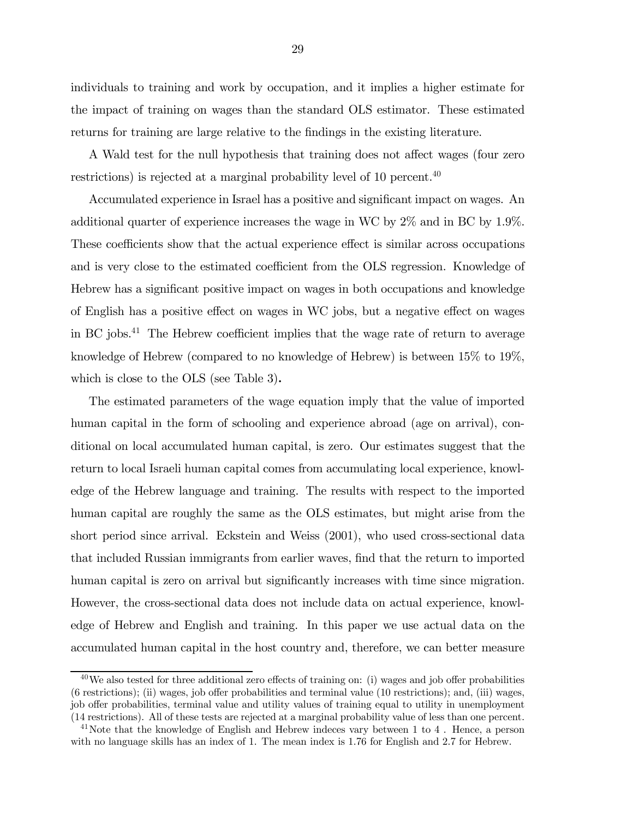individuals to training and work by occupation, and it implies a higher estimate for the impact of training on wages than the standard OLS estimator. These estimated returns for training are large relative to the findings in the existing literature.

A Wald test for the null hypothesis that training does not affect wages (four zero restrictions) is rejected at a marginal probability level of 10 percent.<sup>40</sup>

Accumulated experience in Israel has a positive and significant impact on wages. An additional quarter of experience increases the wage in WC by 2% and in BC by 1.9%. These coefficients show that the actual experience effect is similar across occupations and is very close to the estimated coefficient from the OLS regression. Knowledge of Hebrew has a significant positive impact on wages in both occupations and knowledge of English has a positive effect on wages in WC jobs, but a negative effect on wages in BC jobs.41 The Hebrew coefficient implies that the wage rate of return to average knowledge of Hebrew (compared to no knowledge of Hebrew) is between 15% to 19%, which is close to the OLS (see Table 3).

The estimated parameters of the wage equation imply that the value of imported human capital in the form of schooling and experience abroad (age on arrival), conditional on local accumulated human capital, is zero. Our estimates suggest that the return to local Israeli human capital comes from accumulating local experience, knowledge of the Hebrew language and training. The results with respect to the imported human capital are roughly the same as the OLS estimates, but might arise from the short period since arrival. Eckstein and Weiss (2001), who used cross-sectional data that included Russian immigrants from earlier waves, find that the return to imported human capital is zero on arrival but significantly increases with time since migration. However, the cross-sectional data does not include data on actual experience, knowledge of Hebrew and English and training. In this paper we use actual data on the accumulated human capital in the host country and, therefore, we can better measure

 $40$ We also tested for three additional zero effects of training on: (i) wages and job offer probabilities (6 restrictions); (ii) wages, job offer probabilities and terminal value (10 restrictions); and, (iii) wages, job offer probabilities, terminal value and utility values of training equal to utility in unemployment (14 restrictions). All of these tests are rejected at a marginal probability value of less than one percent.

<sup>&</sup>lt;sup>41</sup>Note that the knowledge of English and Hebrew indeces vary between 1 to 4. Hence, a person with no language skills has an index of 1. The mean index is 1.76 for English and 2.7 for Hebrew.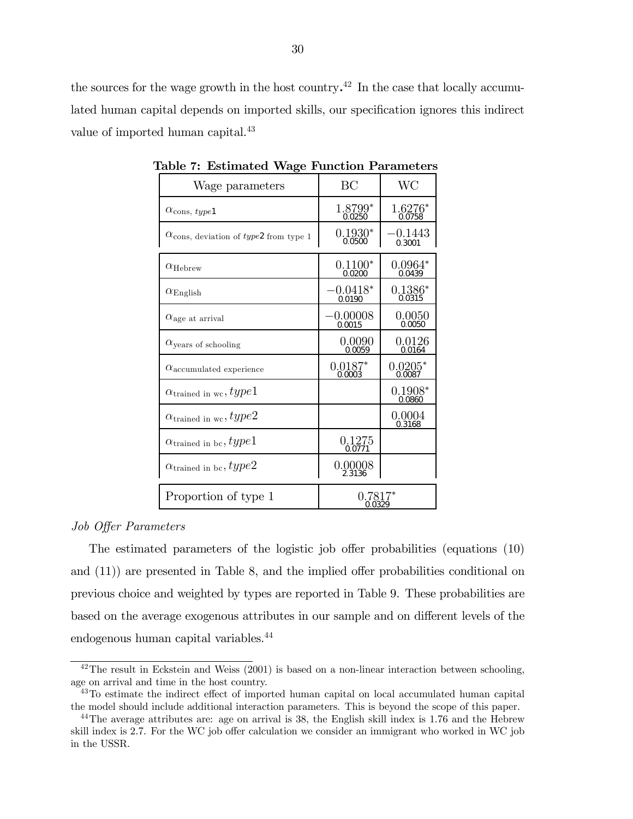the sources for the wage growth in the host country.<sup>42</sup> In the case that locally accumulated human capital depends on imported skills, our specification ignores this indirect value of imported human capital.<sup>43</sup>

| Wage parameters                                          | BC                   | <b>WC</b>           |
|----------------------------------------------------------|----------------------|---------------------|
| $\alpha_{\text{cons},\;type1}$                           | 1.8799*<br>0.0250    | $1.6276*$<br>0.0758 |
| $\alpha$ <sub>cons, deviation of type2</sub> from type 1 | $0.1930*$<br>0.0500  | -0.1443<br>0.3001   |
| $\alpha_{\rm Hebrew}$                                    | $0.1100*$<br>0.0200  | $0.0964*$<br>0.0439 |
| $\alpha_{\rm English}$                                   | $-0.0418*$<br>0.0190 | $0.1386*$<br>0.0315 |
| $\alpha$ <sub>age at arrival</sub>                       | $-0.00008$<br>0.0015 | 0.0050<br>0.0050    |
| $\alpha$ <sub>years</sub> of schooling                   | 0.0090<br>0.0059     | 0.0126<br>0.0164    |
| $\alpha$ <sub>accumulated</sub> experience               | $0.0187*$<br>0.0003  | $0.0205*$<br>0.0087 |
| $\alpha_{\rm trained\ in\ wc}, type1$                    |                      | $0.1908*$<br>0.0860 |
| $\alpha_{\rm trained\ in\ wc}, type 2$                   |                      | 0.0004<br>0.3168    |
| $\alpha_{\rm trained\ in\ bc},type1$                     | 0.1275<br>0.0771     |                     |
| $\alpha_{\rm trained\ in\ bc}, type 2$                   | 0.00008<br>2.3136    |                     |
| Proportion of type 1                                     | 0.7817*<br>0.0329    |                     |

Table 7: Estimated Wage Function Parameters

#### Job Offer Parameters

The estimated parameters of the logistic job offer probabilities (equations (10) and (11)) are presented in Table 8, and the implied offer probabilities conditional on previous choice and weighted by types are reported in Table 9. These probabilities are based on the average exogenous attributes in our sample and on different levels of the endogenous human capital variables.44

 $^{42}$ The result in Eckstein and Weiss (2001) is based on a non-linear interaction between schooling, age on arrival and time in the host country.

<sup>&</sup>lt;sup>43</sup>To estimate the indirect effect of imported human capital on local accumulated human capital the model should include additional interaction parameters. This is beyond the scope of this paper.

<sup>&</sup>lt;sup>44</sup>The average attributes are: age on arrival is 38, the English skill index is 1.76 and the Hebrew skill index is 2.7. For the WC job offer calculation we consider an immigrant who worked in WC job in the USSR.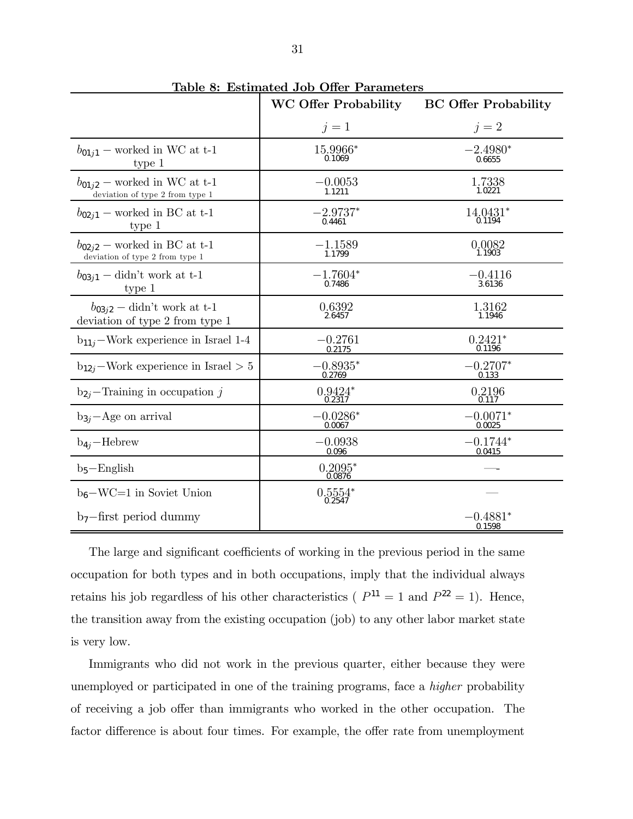|                                                                     | <b>WC Offer Probability</b> | <b>BC Offer Probability</b> |
|---------------------------------------------------------------------|-----------------------------|-----------------------------|
|                                                                     | $j=1$                       | $j=2$                       |
| $b_{01i1}$ – worked in WC at t-1<br>type 1                          | 15.9966*<br>0.1069          | $-2.4980*$<br>0.6655        |
| $b_{01i2}$ – worked in WC at t-1<br>deviation of type 2 from type 1 | $-0.0053$<br>1.1211         | $1.7338$<br>$1.0221$        |
| $b_{02i1}$ – worked in BC at t-1<br>type 1                          | $-2.9737*$<br>0.4461        | 14.0431*<br>0.1194          |
| $b_{02i2}$ – worked in BC at t-1<br>deviation of type 2 from type 1 | $-1.1589$<br>1.1799         | 0.0082<br>1.1903            |
| $b_{03j1}$ – didn't work at t-1<br>type 1                           | $-1.7604*$<br>0.7486        | $-0.4116$<br>3.6136         |
| $b_{03i2}$ – didn't work at t-1<br>deviation of type 2 from type 1  | $0.6392$<br>2.6457          | 1.3162<br>1.1946            |
| $b_{11i}$ –Work experience in Israel 1-4                            | $-0.2761$<br>0.2175         | $0.2421*$<br>0.1196         |
| $b_{12i}$ –Work experience in Israel > 5                            | $-0.8935*$<br>0.2769        | $-0.2707*$<br>0.133         |
| $b_{2i}$ –Training in occupation j                                  | $0.9424*$                   | 0.2196<br>0.117             |
| $b_{3i}$ – Age on arrival                                           | $-0.0286*$<br>0.0067        | $-0.0071*$<br>0.0025        |
| $b_{4j}$ -Hebrew                                                    | $-0.0938$<br>0.096          | $-0.1744*$<br>0.0415        |
| $b_5 -$ English                                                     | $0.2095*$<br>0.0876         |                             |
| $b_6$ -WC=1 in Soviet Union                                         | $0.5554*$<br>0.2547         |                             |
| $b_7$ -first period dummy                                           |                             | $-0.4881*$<br>0.1598        |

Table 8: Estimated Job Offer Parameters

The large and significant coefficients of working in the previous period in the same occupation for both types and in both occupations, imply that the individual always retains his job regardless of his other characteristics ( $P^{11} = 1$  and  $P^{22} = 1$ ). Hence, the transition away from the existing occupation (job) to any other labor market state is very low.

Immigrants who did not work in the previous quarter, either because they were unemployed or participated in one of the training programs, face a higher probability of receiving a job offer than immigrants who worked in the other occupation. The factor difference is about four times. For example, the offer rate from unemployment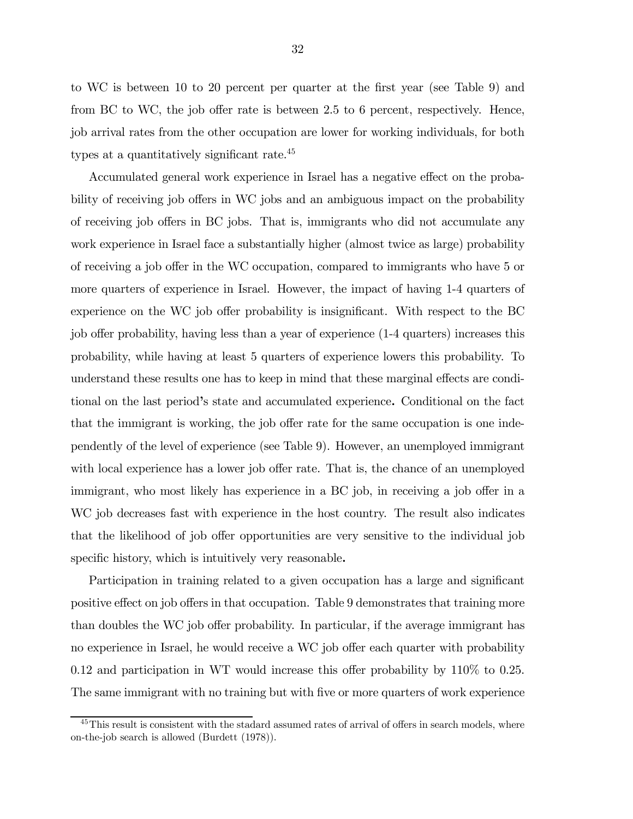to WC is between 10 to 20 percent per quarter at the first year (see Table 9) and from BC to WC, the job offer rate is between 2.5 to 6 percent, respectively. Hence, job arrival rates from the other occupation are lower for working individuals, for both types at a quantitatively significant rate.<sup>45</sup>

Accumulated general work experience in Israel has a negative effect on the probability of receiving job offers in WC jobs and an ambiguous impact on the probability of receiving job offers in BC jobs. That is, immigrants who did not accumulate any work experience in Israel face a substantially higher (almost twice as large) probability of receiving a job offer in the WC occupation, compared to immigrants who have 5 or more quarters of experience in Israel. However, the impact of having 1-4 quarters of experience on the WC job offer probability is insignificant. With respect to the BC job offer probability, having less than a year of experience (1-4 quarters) increases this probability, while having at least 5 quarters of experience lowers this probability. To understand these results one has to keep in mind that these marginal effects are conditional on the last period's state and accumulated experience. Conditional on the fact that the immigrant is working, the job offer rate for the same occupation is one independently of the level of experience (see Table 9). However, an unemployed immigrant with local experience has a lower job offer rate. That is, the chance of an unemployed immigrant, who most likely has experience in a BC job, in receiving a job offer in a WC job decreases fast with experience in the host country. The result also indicates that the likelihood of job offer opportunities are very sensitive to the individual job specific history, which is intuitively very reasonable.

Participation in training related to a given occupation has a large and significant positive effect on job offers in that occupation. Table 9 demonstrates that training more than doubles the WC job offer probability. In particular, if the average immigrant has no experience in Israel, he would receive a WC job offer each quarter with probability 0.12 and participation in WT would increase this offer probability by 110% to 0.25. The same immigrant with no training but with five or more quarters of work experience

<sup>&</sup>lt;sup>45</sup>This result is consistent with the stadard assumed rates of arrival of offers in search models, where on-the-job search is allowed (Burdett (1978)).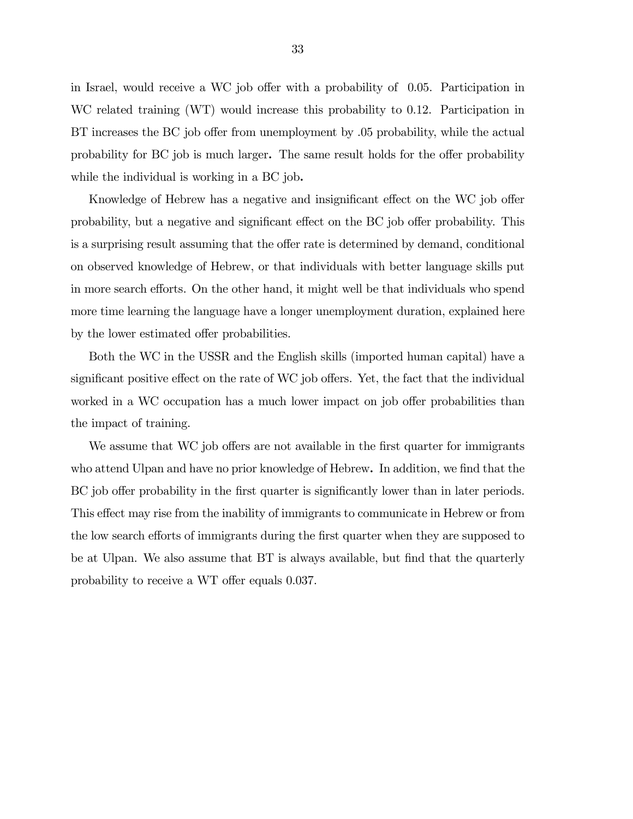in Israel, would receive a WC job offer with a probability of 0.05. Participation in WC related training (WT) would increase this probability to 0.12. Participation in BT increases the BC job offer from unemployment by .05 probability, while the actual probability for BC job is much larger. The same result holds for the offer probability while the individual is working in a BC job.

Knowledge of Hebrew has a negative and insignificant effect on the WC job offer probability, but a negative and significant effect on the BC job offer probability. This is a surprising result assuming that the offer rate is determined by demand, conditional on observed knowledge of Hebrew, or that individuals with better language skills put in more search efforts. On the other hand, it might well be that individuals who spend more time learning the language have a longer unemployment duration, explained here by the lower estimated offer probabilities.

Both the WC in the USSR and the English skills (imported human capital) have a significant positive effect on the rate of WC job offers. Yet, the fact that the individual worked in a WC occupation has a much lower impact on job offer probabilities than the impact of training.

We assume that WC job offers are not available in the first quarter for immigrants who attend Ulpan and have no prior knowledge of Hebrew. In addition, we find that the BC job offer probability in the first quarter is significantly lower than in later periods. This effect may rise from the inability of immigrants to communicate in Hebrew or from the low search efforts of immigrants during the first quarter when they are supposed to be at Ulpan. We also assume that BT is always available, but find that the quarterly probability to receive a WT offer equals 0.037.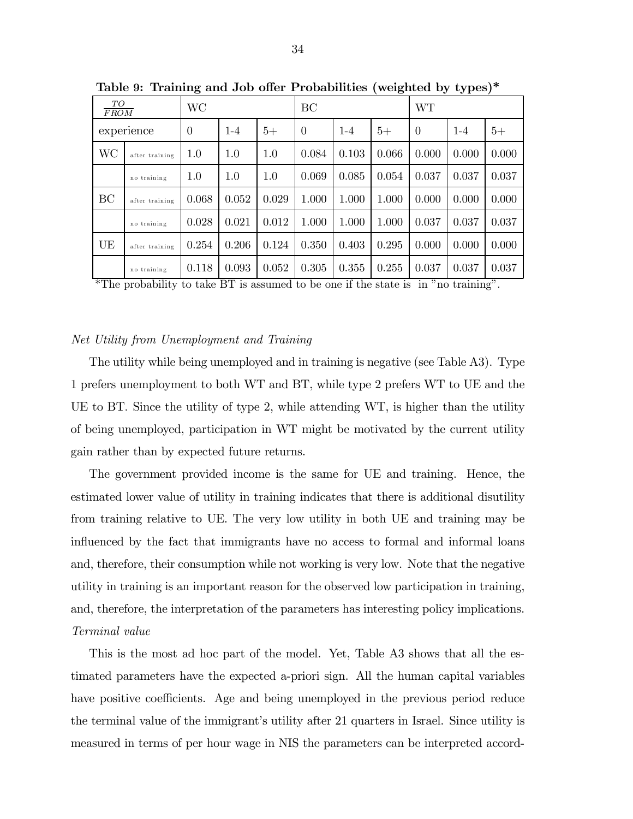| TO<br><b>FROM</b> |                | WC             |         |         | BC       |       |       | <b>WT</b> |       |       |
|-------------------|----------------|----------------|---------|---------|----------|-------|-------|-----------|-------|-------|
|                   | experience     | $\overline{0}$ | $1 - 4$ | $5+$    | $\Omega$ | $1-4$ | $5+$  | $\theta$  | $1-4$ | $5+$  |
| <b>WC</b>         | after training | $1.0\,$        | 1.0     | $1.0\,$ | 0.084    | 0.103 | 0.066 | 0.000     | 0.000 | 0.000 |
|                   | no training    | $1.0\,$        | 1.0     | 1.0     | 0.069    | 0.085 | 0.054 | 0.037     | 0.037 | 0.037 |
| BC                | after training | 0.068          | 0.052   | 0.029   | 1.000    | 1.000 | 1.000 | 0.000     | 0.000 | 0.000 |
|                   | no training    | 0.028          | 0.021   | 0.012   | 1.000    | 1.000 | 1.000 | 0.037     | 0.037 | 0.037 |
| UE                | after training | 0.254          | 0.206   | 0.124   | 0.350    | 0.403 | 0.295 | 0.000     | 0.000 | 0.000 |
|                   | no training    | 0.118          | 0.093   | 0.052   | 0.305    | 0.355 | 0.255 | 0.037     | 0.037 | 0.037 |

Table 9: Training and Job offer Probabilities (weighted by types)\*

\*The probability to take BT is assumed to be one if the state is in "no training".

### Net Utility from Unemployment and Training

The utility while being unemployed and in training is negative (see Table A3). Type 1 prefers unemployment to both WT and BT, while type 2 prefers WT to UE and the UE to BT. Since the utility of type 2, while attending WT, is higher than the utility of being unemployed, participation in WT might be motivated by the current utility gain rather than by expected future returns.

The government provided income is the same for UE and training. Hence, the estimated lower value of utility in training indicates that there is additional disutility from training relative to UE. The very low utility in both UE and training may be influenced by the fact that immigrants have no access to formal and informal loans and, therefore, their consumption while not working is very low. Note that the negative utility in training is an important reason for the observed low participation in training, and, therefore, the interpretation of the parameters has interesting policy implications. Terminal value

This is the most ad hoc part of the model. Yet, Table A3 shows that all the estimated parameters have the expected a-priori sign. All the human capital variables have positive coefficients. Age and being unemployed in the previous period reduce the terminal value of the immigrant's utility after 21 quarters in Israel. Since utility is measured in terms of per hour wage in NIS the parameters can be interpreted accord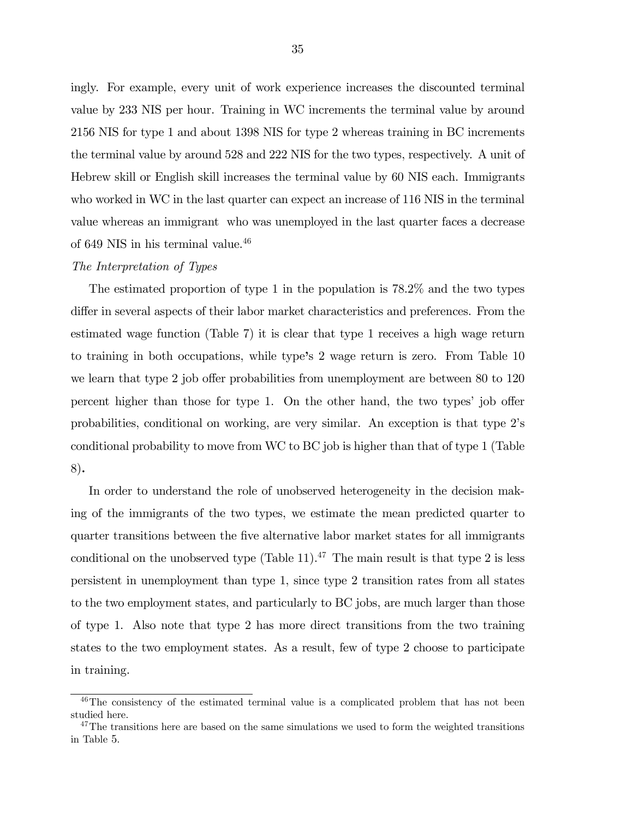ingly. For example, every unit of work experience increases the discounted terminal value by 233 NIS per hour. Training in WC increments the terminal value by around 2156 NIS for type 1 and about 1398 NIS for type 2 whereas training in BC increments the terminal value by around 528 and 222 NIS for the two types, respectively. A unit of Hebrew skill or English skill increases the terminal value by 60 NIS each. Immigrants who worked in WC in the last quarter can expect an increase of 116 NIS in the terminal value whereas an immigrant who was unemployed in the last quarter faces a decrease of 649 NIS in his terminal value.<sup>46</sup>

### The Interpretation of Types

The estimated proportion of type 1 in the population is 78.2% and the two types differ in several aspects of their labor market characteristics and preferences. From the estimated wage function (Table 7) it is clear that type 1 receives a high wage return to training in both occupations, while type's 2 wage return is zero. From Table 10 we learn that type 2 job offer probabilities from unemployment are between 80 to 120 percent higher than those for type 1. On the other hand, the two types' job offer probabilities, conditional on working, are very similar. An exception is that type 2's conditional probability to move from WC to BC job is higher than that of type 1 (Table 8).

In order to understand the role of unobserved heterogeneity in the decision making of the immigrants of the two types, we estimate the mean predicted quarter to quarter transitions between the five alternative labor market states for all immigrants conditional on the unobserved type  $(Table 11).<sup>47</sup>$  The main result is that type 2 is less persistent in unemployment than type 1, since type 2 transition rates from all states to the two employment states, and particularly to BC jobs, are much larger than those of type 1. Also note that type 2 has more direct transitions from the two training states to the two employment states. As a result, few of type 2 choose to participate in training.

<sup>&</sup>lt;sup>46</sup>The consistency of the estimated terminal value is a complicated problem that has not been studied here.

 $47$ The transitions here are based on the same simulations we used to form the weighted transitions in Table 5.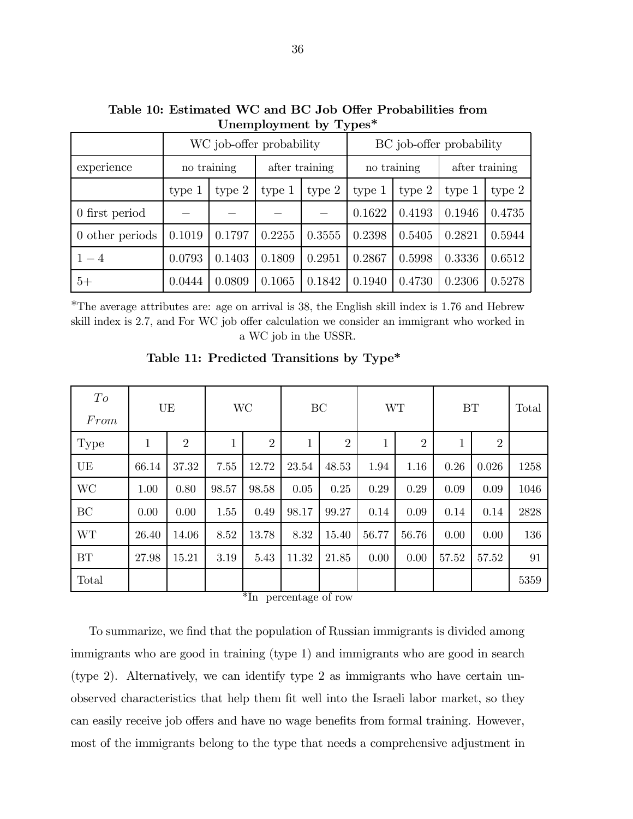| $-1.7$ $\sim$ $-1.7$ |             |                          |                |          |                   |                          |                |        |  |  |
|----------------------|-------------|--------------------------|----------------|----------|-------------------|--------------------------|----------------|--------|--|--|
|                      |             | WC job-offer probability |                |          |                   | BC job-offer probability |                |        |  |  |
| experience           | no training |                          | after training |          | no training       |                          | after training |        |  |  |
|                      | type $1$    | type $2$<br>type 1       |                | type $2$ | type <sub>1</sub> | type $2$                 | type 1         | type 2 |  |  |
| 0 first period       |             |                          |                |          | 0.1622            | 0.4193                   | 0.1946         | 0.4735 |  |  |
| 0 other periods      | 0.1019      | 0.1797                   | 0.2255         | 0.3555   | 0.2398            | 0.5405                   | 0.2821         | 0.5944 |  |  |
| $1 - 4$              | 0.0793      | 0.1403                   | 0.1809         | 0.2951   | 0.2867            | 0.5998                   | 0.3336         | 0.6512 |  |  |
| $5+$                 | 0.0444      | 0.0809                   | 0.1065         | 0.1842   | 0.1940            | 0.4730                   | 0.2306         | 0.5278 |  |  |

Table 10: Estimated WC and BC Job Offer Probabilities from Unemployment by Types\*

\*The average attributes are: age on arrival is 38, the English skill index is 1.76 and Hebrew skill index is 2.7, and For WC job offer calculation we consider an immigrant who worked in a WC job in the USSR.

| To<br>From |       | UE             | <b>WC</b> |                | BC          |                | <b>WT</b> |                | <b>BT</b> |                | Total |
|------------|-------|----------------|-----------|----------------|-------------|----------------|-----------|----------------|-----------|----------------|-------|
| Type       | 1     | $\overline{2}$ | 1         | $\overline{2}$ | $\mathbf 1$ | $\overline{2}$ | 1         | $\overline{2}$ | 1         | $\overline{2}$ |       |
| UE         | 66.14 | 37.32          | 7.55      | 12.72          | 23.54       | 48.53          | 1.94      | 1.16           | 0.26      | 0.026          | 1258  |
| <b>WC</b>  | 1.00  | 0.80           | 98.57     | 98.58          | 0.05        | 0.25           | 0.29      | 0.29           | 0.09      | 0.09           | 1046  |
| BC         | 0.00  | 0.00           | 1.55      | 0.49           | 98.17       | 99.27          | 0.14      | 0.09           | 0.14      | 0.14           | 2828  |
| <b>WT</b>  | 26.40 | 14.06          | 8.52      | 13.78          | 8.32        | 15.40          | 56.77     | 56.76          | 0.00      | 0.00           | 136   |
| BT         | 27.98 | 15.21          | 3.19      | 5.43           | 11.32       | 21.85          | 0.00      | 0.00           | 57.52     | 57.52          | 91    |
| Total      |       |                |           |                |             |                |           |                |           |                | 5359  |

Table 11: Predicted Transitions by Type\*

\*In percentage of row

To summarize, we find that the population of Russian immigrants is divided among immigrants who are good in training (type 1) and immigrants who are good in search (type 2). Alternatively, we can identify type 2 as immigrants who have certain unobserved characteristics that help them fit well into the Israeli labor market, so they can easily receive job offers and have no wage benefits from formal training. However, most of the immigrants belong to the type that needs a comprehensive adjustment in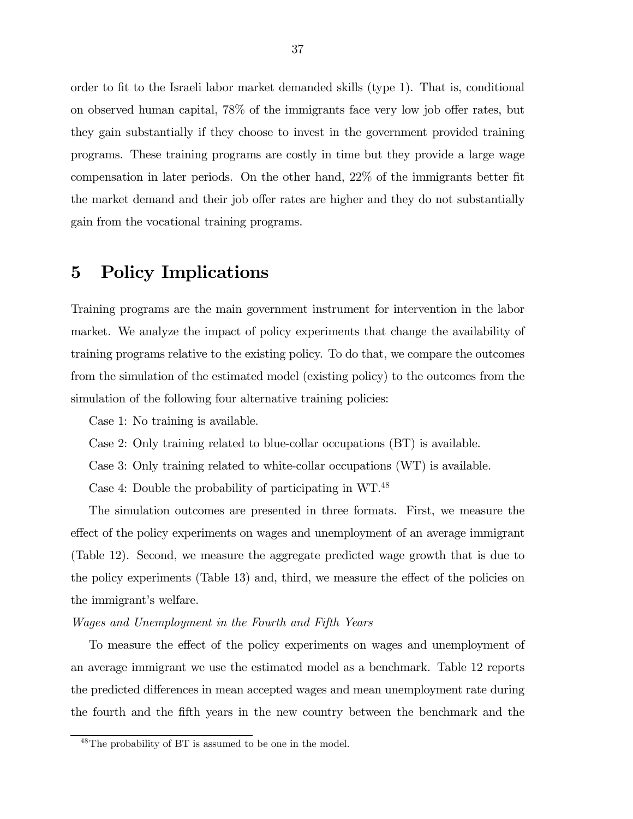order to fit to the Israeli labor market demanded skills (type 1). That is, conditional on observed human capital, 78% of the immigrants face very low job offer rates, but they gain substantially if they choose to invest in the government provided training programs. These training programs are costly in time but they provide a large wage compensation in later periods. On the other hand, 22% of the immigrants better fit the market demand and their job offer rates are higher and they do not substantially gain from the vocational training programs.

### 5 Policy Implications

Training programs are the main government instrument for intervention in the labor market. We analyze the impact of policy experiments that change the availability of training programs relative to the existing policy. To do that, we compare the outcomes from the simulation of the estimated model (existing policy) to the outcomes from the simulation of the following four alternative training policies:

Case 1: No training is available.

Case 2: Only training related to blue-collar occupations (BT) is available.

Case 3: Only training related to white-collar occupations (WT) is available.

Case 4: Double the probability of participating in WT.48

The simulation outcomes are presented in three formats. First, we measure the effect of the policy experiments on wages and unemployment of an average immigrant (Table 12). Second, we measure the aggregate predicted wage growth that is due to the policy experiments (Table 13) and, third, we measure the effect of the policies on the immigrant's welfare.

### Wages and Unemployment in the Fourth and Fifth Years

To measure the effect of the policy experiments on wages and unemployment of an average immigrant we use the estimated model as a benchmark. Table 12 reports the predicted differences in mean accepted wages and mean unemployment rate during the fourth and the fifth years in the new country between the benchmark and the

<sup>48</sup>The probability of BT is assumed to be one in the model.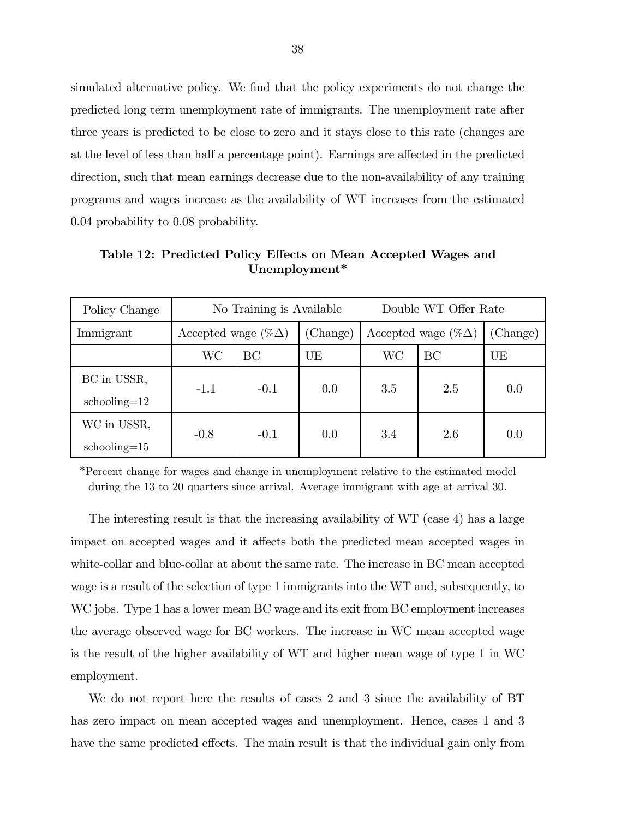simulated alternative policy. We find that the policy experiments do not change the predicted long term unemployment rate of immigrants. The unemployment rate after three years is predicted to be close to zero and it stays close to this rate (changes are at the level of less than half a percentage point). Earnings are affected in the predicted direction, such that mean earnings decrease due to the non-availability of any training programs and wages increase as the availability of WT increases from the estimated 0.04 probability to 0.08 probability.

| Policy Change    | No Training is Available   |        |          | Double WT Offer Rate       |     |          |
|------------------|----------------------------|--------|----------|----------------------------|-----|----------|
| Immigrant        | Accepted wage $(\%\Delta)$ |        | (Change) | Accepted wage $(\%\Delta)$ |     | (Change) |
|                  | WC                         | BC     | UE       | WС                         | BC  | UE       |
| BC in USSR,      | $-1.1$                     | $-0.1$ | 0.0      | 3.5                        | 2.5 | 0.0      |
| $schooling=12$   |                            |        |          |                            |     |          |
| WC in USSR,      | $-0.8$                     | $-0.1$ | 0.0      | 3.4                        | 2.6 | 0.0      |
| $schooling = 15$ |                            |        |          |                            |     |          |

Table 12: Predicted Policy Effects on Mean Accepted Wages and Unemployment\*

\*Percent change for wages and change in unemployment relative to the estimated model during the 13 to 20 quarters since arrival. Average immigrant with age at arrival 30.

The interesting result is that the increasing availability of WT (case 4) has a large impact on accepted wages and it affects both the predicted mean accepted wages in white-collar and blue-collar at about the same rate. The increase in BC mean accepted wage is a result of the selection of type 1 immigrants into the WT and, subsequently, to WC jobs. Type 1 has a lower mean BC wage and its exit from BC employment increases the average observed wage for BC workers. The increase in WC mean accepted wage is the result of the higher availability of WT and higher mean wage of type 1 in WC employment.

We do not report here the results of cases 2 and 3 since the availability of BT has zero impact on mean accepted wages and unemployment. Hence, cases 1 and 3 have the same predicted effects. The main result is that the individual gain only from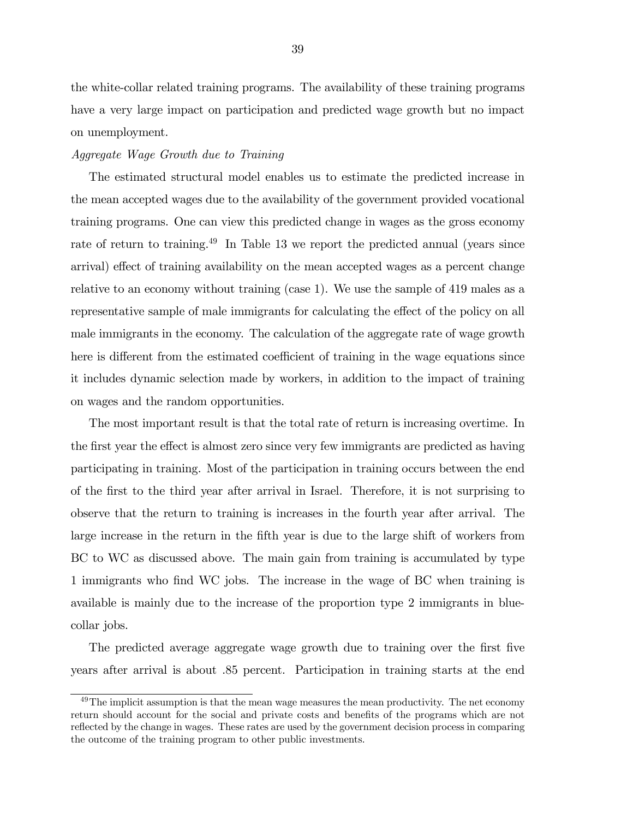the white-collar related training programs. The availability of these training programs have a very large impact on participation and predicted wage growth but no impact on unemployment.

#### Aggregate Wage Growth due to Training

The estimated structural model enables us to estimate the predicted increase in the mean accepted wages due to the availability of the government provided vocational training programs. One can view this predicted change in wages as the gross economy rate of return to training.<sup>49</sup> In Table 13 we report the predicted annual (years since arrival) effect of training availability on the mean accepted wages as a percent change relative to an economy without training (case 1). We use the sample of 419 males as a representative sample of male immigrants for calculating the effect of the policy on all male immigrants in the economy. The calculation of the aggregate rate of wage growth here is different from the estimated coefficient of training in the wage equations since it includes dynamic selection made by workers, in addition to the impact of training on wages and the random opportunities.

The most important result is that the total rate of return is increasing overtime. In the first year the effect is almost zero since very few immigrants are predicted as having participating in training. Most of the participation in training occurs between the end of the first to the third year after arrival in Israel. Therefore, it is not surprising to observe that the return to training is increases in the fourth year after arrival. The large increase in the return in the fifth year is due to the large shift of workers from BC to WC as discussed above. The main gain from training is accumulated by type 1 immigrants who find WC jobs. The increase in the wage of BC when training is available is mainly due to the increase of the proportion type 2 immigrants in bluecollar jobs.

The predicted average aggregate wage growth due to training over the first five years after arrival is about .85 percent. Participation in training starts at the end

 $^{49}$ The implicit assumption is that the mean wage measures the mean productivity. The net economy return should account for the social and private costs and benefits of the programs which are not reflected by the change in wages. These rates are used by the government decision process in comparing the outcome of the training program to other public investments.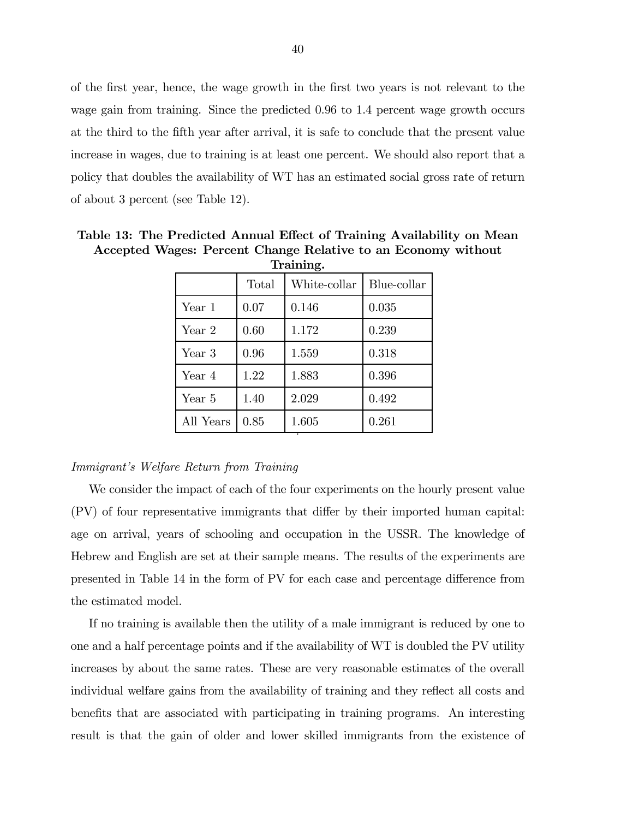of the first year, hence, the wage growth in the first two years is not relevant to the wage gain from training. Since the predicted 0.96 to 1.4 percent wage growth occurs at the third to the fifth year after arrival, it is safe to conclude that the present value increase in wages, due to training is at least one percent. We should also report that a policy that doubles the availability of WT has an estimated social gross rate of return of about 3 percent (see Table 12).

| пашшқ. |              |             |  |  |  |  |
|--------|--------------|-------------|--|--|--|--|
| Total  | White-collar | Blue-collar |  |  |  |  |
| 0.07   | 0.146        | 0.035       |  |  |  |  |
| 0.60   | 1.172        | 0.239       |  |  |  |  |
| 0.96   | 1.559        | 0.318       |  |  |  |  |
| 1.22   | 1.883        | 0.396       |  |  |  |  |
| 1.40   | 2.029        | 0.492       |  |  |  |  |
| 0.85   | 1.605        | 0.261       |  |  |  |  |
|        |              |             |  |  |  |  |

Table 13: The Predicted Annual Effect of Training Availability on Mean Accepted Wages: Percent Change Relative to an Economy without **Training** 

#### Immigrant's Welfare Return from Training

We consider the impact of each of the four experiments on the hourly present value (PV) of four representative immigrants that differ by their imported human capital: age on arrival, years of schooling and occupation in the USSR. The knowledge of Hebrew and English are set at their sample means. The results of the experiments are presented in Table 14 in the form of PV for each case and percentage difference from the estimated model.

If no training is available then the utility of a male immigrant is reduced by one to one and a half percentage points and if the availability of WT is doubled the PV utility increases by about the same rates. These are very reasonable estimates of the overall individual welfare gains from the availability of training and they reflect all costs and benefits that are associated with participating in training programs. An interesting result is that the gain of older and lower skilled immigrants from the existence of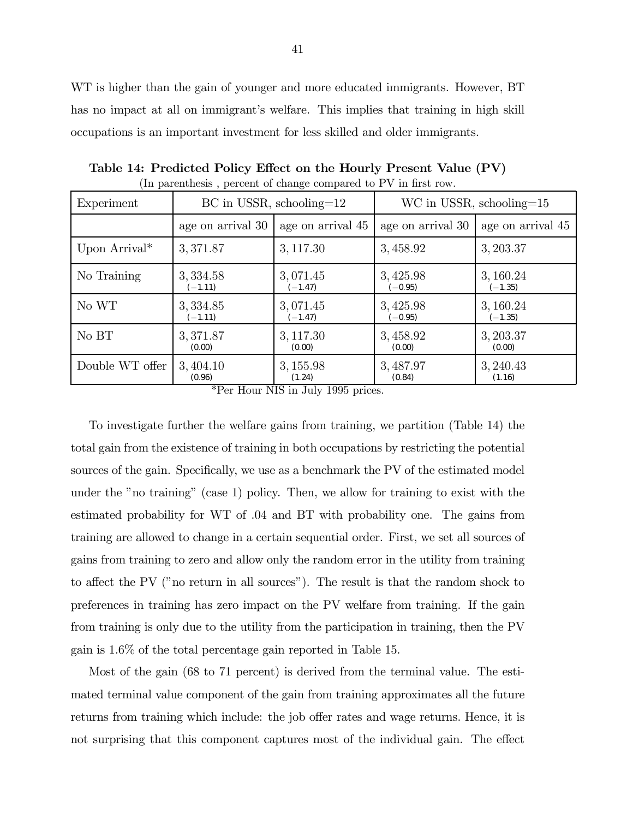WT is higher than the gain of younger and more educated immigrants. However, BT has no impact at all on immigrant's welfare. This implies that training in high skill occupations is an important investment for less skilled and older immigrants.

| Experiment                |                   | $BC$ in USSR, schooling=12 | WC in USSR, schooling= $15$ |                   |  |
|---------------------------|-------------------|----------------------------|-----------------------------|-------------------|--|
|                           | age on arrival 30 | age on arrival 45          | age on arrival 30           | age on arrival 45 |  |
| Upon Arrival <sup>*</sup> | 3,371.87          | 3, 117.30                  | 3,458.92                    | 3, 203.37         |  |
| No Training               | 3, 334.58         | 3,071.45                   | 3, 425.98                   | 3, 160.24         |  |
|                           | $(-1.11)$         | $(-1.47)$                  | $(-0.95)$                   | $(-1.35)$         |  |
| No WT                     | 3, 334.85         | 3,071.45                   | 3, 425.98                   | 3, 160.24         |  |
|                           | $(-1.11)$         | $(-1.47)$                  | $(-0.95)$                   | $(-1.35)$         |  |
| No BT                     | 3,371.87          | 3, 117.30                  | 3,458.92                    | 3, 203.37         |  |
|                           | (0.00)            | (0.00)                     | (0.00)                      | (0.00)            |  |
| Double WT offer           | 3, 404.10         | 3, 155.98                  | 3,487.97                    | 3, 240.43         |  |
|                           | (0.96)            | (1.24)                     | (0.84)                      | (1.16)            |  |

Table 14: Predicted Policy Effect on the Hourly Present Value (PV) (In parenthesis , percent of change compared to PV in first row.

\*Per Hour NIS in July 1995 prices.

To investigate further the welfare gains from training, we partition (Table 14) the total gain from the existence of training in both occupations by restricting the potential sources of the gain. Specifically, we use as a benchmark the PV of the estimated model under the "no training" (case 1) policy. Then, we allow for training to exist with the estimated probability for WT of .04 and BT with probability one. The gains from training are allowed to change in a certain sequential order. First, we set all sources of gains from training to zero and allow only the random error in the utility from training to affect the PV ("no return in all sources"). The result is that the random shock to preferences in training has zero impact on the PV welfare from training. If the gain from training is only due to the utility from the participation in training, then the PV gain is 1.6% of the total percentage gain reported in Table 15.

Most of the gain (68 to 71 percent) is derived from the terminal value. The estimated terminal value component of the gain from training approximates all the future returns from training which include: the job offer rates and wage returns. Hence, it is not surprising that this component captures most of the individual gain. The effect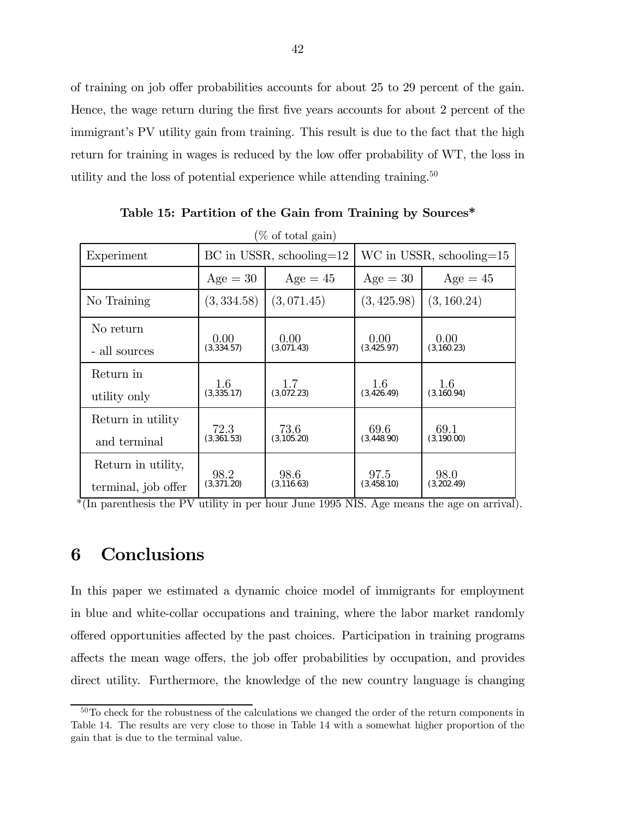of training on job offer probabilities accounts for about 25 to 29 percent of the gain. Hence, the wage return during the first five years accounts for about 2 percent of the immigrant's PV utility gain from training. This result is due to the fact that the high return for training in wages is reduced by the low offer probability of WT, the loss in utility and the loss of potential experience while attending training.<sup>50</sup>

| Experiment          |             | $BC$ in USSR, schooling= $12$ | $WC$ in USSR, schooling=15 |             |  |
|---------------------|-------------|-------------------------------|----------------------------|-------------|--|
|                     |             |                               |                            |             |  |
|                     | $Age = 30$  | $Age = 45$                    | $Age = 30$                 | $Age = 45$  |  |
| No Training         | (3, 334.58) | (3,071.45)                    | (3, 425.98)                | (3, 160.24) |  |
| No return           | 0.00        | 0.00                          | 0.00                       | 0.00        |  |
| - all sources       | (3,334.57)  | (3,071.43)                    | (3, 425.97)                | (3,160.23)  |  |
| Return in           | 1.6         | 1.7                           | 1.6                        | 1.6         |  |
| utility only        | (3,335.17)  | (3,072.23)                    | (3,426.49)                 | (3, 160.94) |  |
| Return in utility   | 72.3        | 73.6                          | 69.6                       | 69.1        |  |
| and terminal        | (3,361.53)  | (3, 105.20)                   | (3,448.90)                 | (3,190.00)  |  |
| Return in utility,  | 98.2        | 98.6                          | 97.5                       | 98.0        |  |
| terminal, job offer | (3,371.20)  | (3, 116.63)                   | (3,458.10)                 | (3,202.49)  |  |

Table 15: Partition of the Gain from Training by Sources\*

\*(In parenthesis the PV utility in per hour June 1995 NIS. Age means the age on arrival).

### 6 Conclusions

In this paper we estimated a dynamic choice model of immigrants for employment in blue and white-collar occupations and training, where the labor market randomly offered opportunities affected by the past choices. Participation in training programs affects the mean wage offers, the job offer probabilities by occupation, and provides direct utility. Furthermore, the knowledge of the new country language is changing

<sup>&</sup>lt;sup>50</sup>To check for the robustness of the calculations we changed the order of the return components in Table 14. The results are very close to those in Table 14 with a somewhat higher proportion of the gain that is due to the terminal value.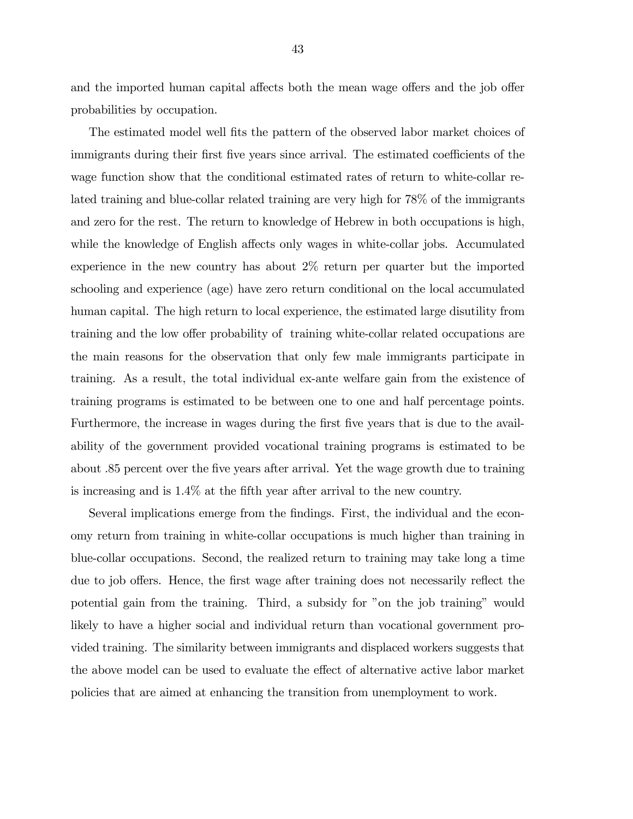and the imported human capital affects both the mean wage offers and the job offer probabilities by occupation.

The estimated model well fits the pattern of the observed labor market choices of immigrants during their first five years since arrival. The estimated coefficients of the wage function show that the conditional estimated rates of return to white-collar related training and blue-collar related training are very high for 78% of the immigrants and zero for the rest. The return to knowledge of Hebrew in both occupations is high, while the knowledge of English affects only wages in white-collar jobs. Accumulated experience in the new country has about 2% return per quarter but the imported schooling and experience (age) have zero return conditional on the local accumulated human capital. The high return to local experience, the estimated large disutility from training and the low offer probability of training white-collar related occupations are the main reasons for the observation that only few male immigrants participate in training. As a result, the total individual ex-ante welfare gain from the existence of training programs is estimated to be between one to one and half percentage points. Furthermore, the increase in wages during the first five years that is due to the availability of the government provided vocational training programs is estimated to be about .85 percent over the five years after arrival. Yet the wage growth due to training is increasing and is 1.4% at the fifth year after arrival to the new country.

Several implications emerge from the findings. First, the individual and the economy return from training in white-collar occupations is much higher than training in blue-collar occupations. Second, the realized return to training may take long a time due to job offers. Hence, the first wage after training does not necessarily reflect the potential gain from the training. Third, a subsidy for "on the job training" would likely to have a higher social and individual return than vocational government provided training. The similarity between immigrants and displaced workers suggests that the above model can be used to evaluate the effect of alternative active labor market policies that are aimed at enhancing the transition from unemployment to work.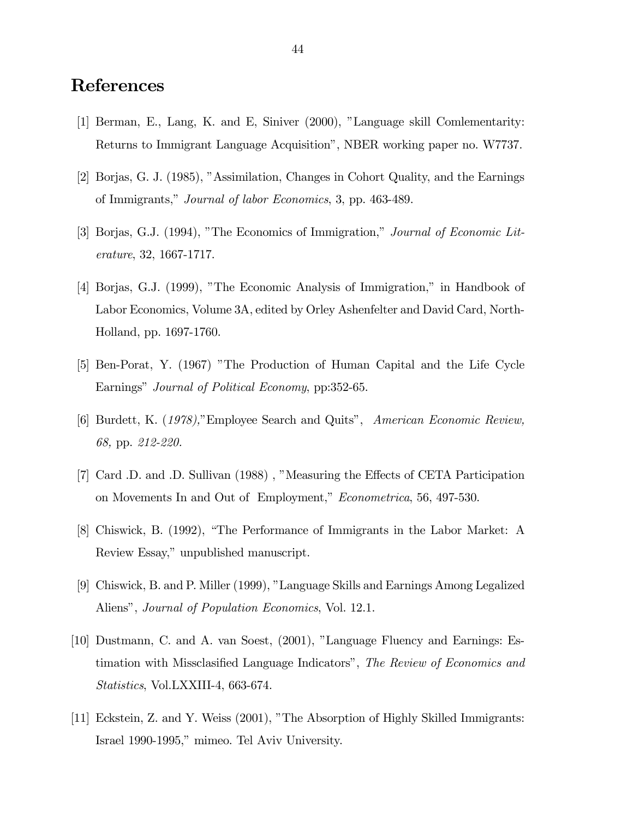### References

- [1] Berman, E., Lang, K. and E, Siniver (2000), "Language skill Comlementarity: Returns to Immigrant Language Acquisition", NBER working paper no. W7737.
- [2] Borjas, G. J. (1985), "Assimilation, Changes in Cohort Quality, and the Earnings of Immigrants," Journal of labor Economics, 3, pp. 463-489.
- [3] Borjas, G.J. (1994), "The Economics of Immigration," Journal of Economic Literature, 32, 1667-1717.
- [4] Borjas, G.J. (1999), "The Economic Analysis of Immigration," in Handbook of Labor Economics, Volume 3A, edited by Orley Ashenfelter and David Card, North-Holland, pp. 1697-1760.
- [5] Ben-Porat, Y. (1967) "The Production of Human Capital and the Life Cycle Earnings" Journal of Political Economy, pp:352-65.
- [6] Burdett, K. (1978),"Employee Search and Quits", American Economic Review, 68, pp. 212-220.
- [7] Card .D. and .D. Sullivan (1988) , "Measuring the Effects of CETA Participation on Movements In and Out of Employment," Econometrica, 56, 497-530.
- [8] Chiswick, B. (1992), "The Performance of Immigrants in the Labor Market: A Review Essay," unpublished manuscript.
- [9] Chiswick, B. and P. Miller (1999), "Language Skills and Earnings Among Legalized Aliens", Journal of Population Economics, Vol. 12.1.
- [10] Dustmann, C. and A. van Soest, (2001), "Language Fluency and Earnings: Estimation with Missclasified Language Indicators", The Review of Economics and Statistics, Vol.LXXIII-4, 663-674.
- [11] Eckstein, Z. and Y. Weiss (2001), "The Absorption of Highly Skilled Immigrants: Israel 1990-1995," mimeo. Tel Aviv University.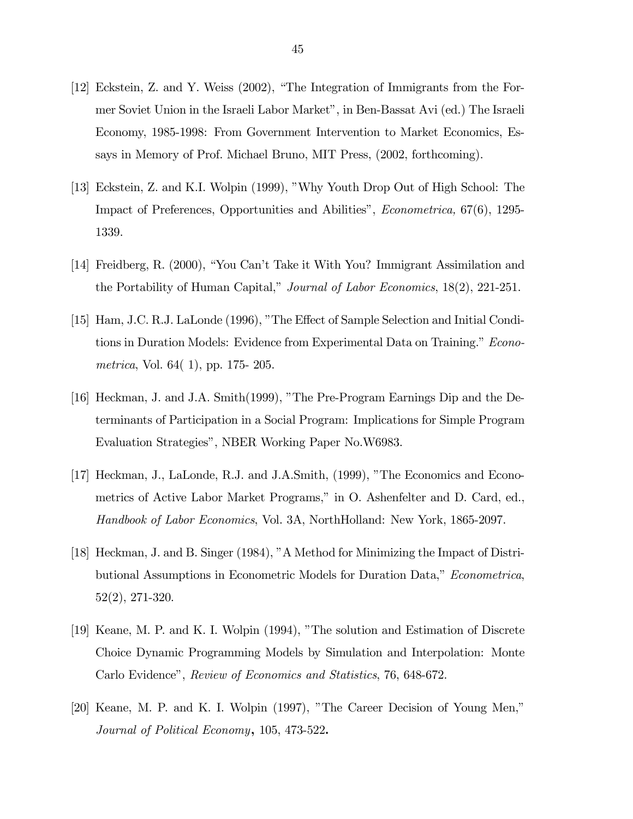- [12] Eckstein, Z. and Y. Weiss (2002), "The Integration of Immigrants from the Former Soviet Union in the Israeli Labor Market", in Ben-Bassat Avi (ed.) The Israeli Economy, 1985-1998: From Government Intervention to Market Economics, Essays in Memory of Prof. Michael Bruno, MIT Press, (2002, forthcoming).
- [13] Eckstein, Z. and K.I. Wolpin (1999), "Why Youth Drop Out of High School: The Impact of Preferences, Opportunities and Abilities", Econometrica, 67(6), 1295- 1339.
- [14] Freidberg, R. (2000), "You Can't Take it With You? Immigrant Assimilation and the Portability of Human Capital," Journal of Labor Economics, 18(2), 221-251.
- [15] Ham, J.C. R.J. LaLonde (1996), "The Effect of Sample Selection and Initial Conditions in Duration Models: Evidence from Experimental Data on Training." Econometrica, Vol. 64( 1), pp. 175- 205.
- [16] Heckman, J. and J.A. Smith(1999), "The Pre-Program Earnings Dip and the Determinants of Participation in a Social Program: Implications for Simple Program Evaluation Strategies", NBER Working Paper No.W6983.
- [17] Heckman, J., LaLonde, R.J. and J.A.Smith, (1999), "The Economics and Econometrics of Active Labor Market Programs," in O. Ashenfelter and D. Card, ed., Handbook of Labor Economics, Vol. 3A, NorthHolland: New York, 1865-2097.
- [18] Heckman, J. and B. Singer (1984), "A Method for Minimizing the Impact of Distributional Assumptions in Econometric Models for Duration Data," Econometrica, 52(2), 271-320.
- [19] Keane, M. P. and K. I. Wolpin (1994), "The solution and Estimation of Discrete Choice Dynamic Programming Models by Simulation and Interpolation: Monte Carlo Evidence", Review of Economics and Statistics, 76, 648-672.
- [20] Keane, M. P. and K. I. Wolpin (1997), "The Career Decision of Young Men," Journal of Political Economy, 105, 473-522.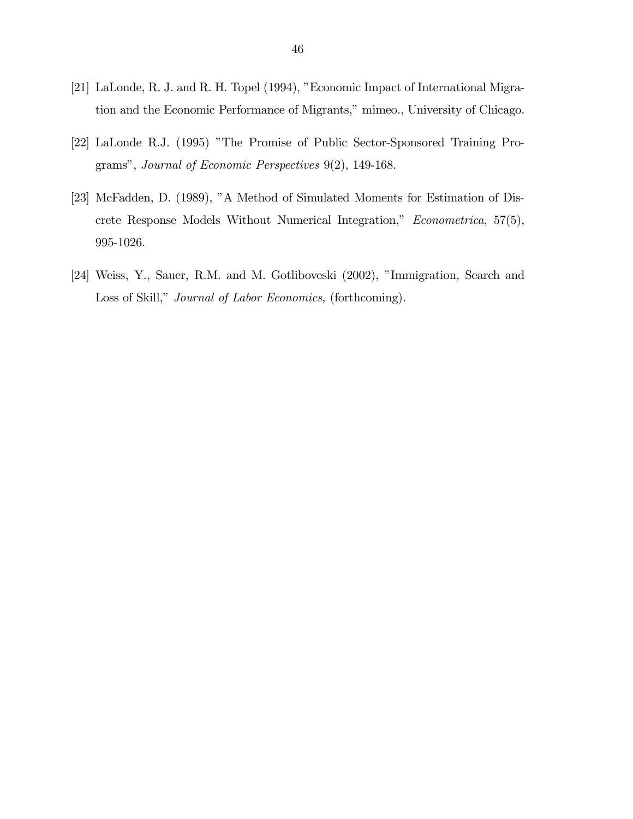- [21] LaLonde, R. J. and R. H. Topel (1994), "Economic Impact of International Migration and the Economic Performance of Migrants," mimeo., University of Chicago.
- [22] LaLonde R.J. (1995) "The Promise of Public Sector-Sponsored Training Programs", Journal of Economic Perspectives 9(2), 149-168.
- [23] McFadden, D. (1989), "A Method of Simulated Moments for Estimation of Discrete Response Models Without Numerical Integration," Econometrica, 57(5), 995-1026.
- [24] Weiss, Y., Sauer, R.M. and M. Gotliboveski (2002), "Immigration, Search and Loss of Skill," Journal of Labor Economics, (forthcoming).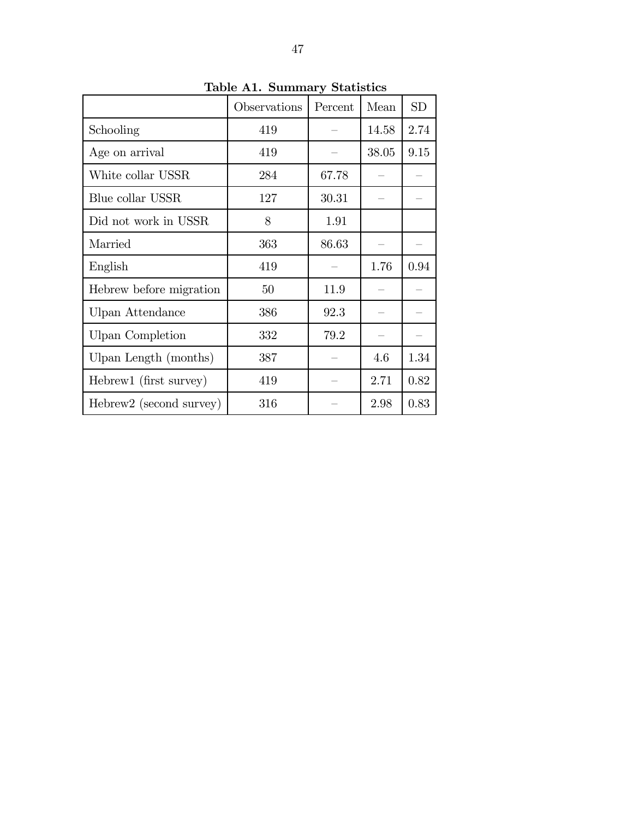|                         | Observations | Percent | Mean  | SD   |
|-------------------------|--------------|---------|-------|------|
| Schooling               | 419          |         | 14.58 | 2.74 |
| Age on arrival          | 419          |         | 38.05 | 9.15 |
| White collar USSR       | 284          | 67.78   |       |      |
| Blue collar USSR        | 127          | 30.31   |       |      |
| Did not work in USSR    | 8            | 1.91    |       |      |
| Married                 | 363          | 86.63   |       |      |
| English                 | 419          |         | 1.76  | 0.94 |
| Hebrew before migration | 50           | 11.9    |       |      |
| Ulpan Attendance        | 386          | 92.3    |       |      |
| <b>Ulpan Completion</b> | 332          | 79.2    |       |      |
| Ulpan Length (months)   | 387          |         | 4.6   | 1.34 |
| Hebrew1 (first survey)  | 419          |         | 2.71  | 0.82 |
| Hebrew2 (second survey) | 316          |         | 2.98  | 0.83 |

Table A1. Summary Statistics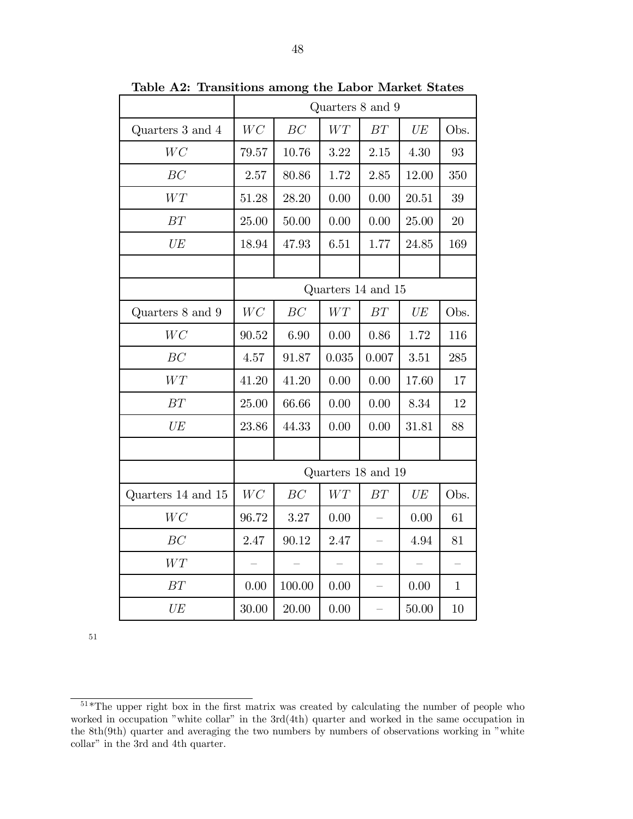|                    | Quarters 8 and 9   |        |       |                    |            |              |
|--------------------|--------------------|--------|-------|--------------------|------------|--------------|
| Quarters 3 and 4   | WC                 | BC     | WT    | BT                 | UE         | Obs.         |
| WC                 | 79.57              | 10.76  | 3.22  | 2.15               | 4.30       | 93           |
| BC                 | 2.57               | 80.86  | 1.72  | 2.85               | 12.00      | 350          |
| WT                 | 51.28              | 28.20  | 0.00  | 0.00               | 20.51      | 39           |
| $\cal BT$          | 25.00              | 50.00  | 0.00  | 0.00               | 25.00      | $20\,$       |
| UE                 | 18.94              | 47.93  | 6.51  | 1.77               | 24.85      | 169          |
|                    |                    |        |       |                    |            |              |
|                    |                    |        |       | Quarters 14 and 15 |            |              |
| Quarters 8 and 9   | WC                 | BC     | WT    | BT                 | UE         | Obs.         |
| WC                 | 90.52              | 6.90   | 0.00  | 0.86               | 1.72       | 116          |
| BC                 | 4.57               | 91.87  | 0.035 | 0.007              | 3.51       | 285          |
| $WT$               | 41.20              | 41.20  | 0.00  | 0.00               | 17.60      | 17           |
| BT                 | 25.00              | 66.66  | 0.00  | 0.00               | 8.34       | 12           |
| UE                 | 23.86              | 44.33  | 0.00  | 0.00               | 31.81      | 88           |
|                    |                    |        |       |                    |            |              |
|                    | Quarters 18 and 19 |        |       |                    |            |              |
| Quarters 14 and 15 | WC                 | BC     | WT    | BT                 | $\cal{UE}$ | Obs.         |
| WC                 | 96.72              | 3.27   | 0.00  |                    | 0.00       | 61           |
| BC                 | 2.47               | 90.12  | 2.47  |                    | 4.94       | 81           |
| WT                 |                    |        |       |                    |            |              |
| BT                 | 0.00               | 100.00 | 0.00  |                    | 0.00       | $\mathbf{1}$ |
| UE                 | 30.00              | 20.00  | 0.00  | $\equiv$           | 50.00      | 10           |

Table A2: Transitions among the Labor Market States

 $51*$ The upper right box in the first matrix was created by calculating the number of people who worked in occupation "white collar" in the 3rd(4th) quarter and worked in the same occupation in the 8th(9th) quarter and averaging the two numbers by numbers of observations working in "white collar" in the 3rd and 4th quarter.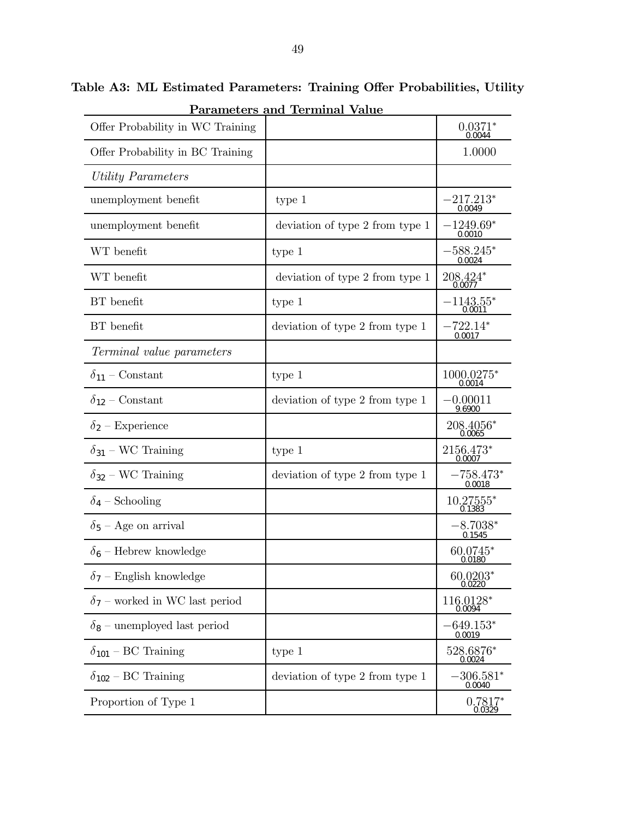|                                       | <u>Parameters and 'Ierminal Value</u> |                        |
|---------------------------------------|---------------------------------------|------------------------|
| Offer Probability in WC Training      |                                       | $0.0371*0.0044$        |
| Offer Probability in BC Training      |                                       | 1.0000                 |
| Utility Parameters                    |                                       |                        |
| unemployment benefit                  | type 1                                | $-217.213*$<br>0.0049  |
| unemployment benefit                  | deviation of type 2 from type 1       | $-1249.69*$<br>0.0010  |
| WT benefit                            | type 1                                | $-588.245*$<br>0.0024  |
| WT benefit                            | deviation of type 2 from type 1       | $208.424*$             |
| BT benefit                            | type 1                                | $-1143.55^*$<br>0.0011 |
| BT benefit                            | deviation of type 2 from type 1       | $-722.14*$<br>0.0017   |
| Terminal value parameters             |                                       |                        |
| $\delta_{11}$ – Constant              | type 1                                | $1000.0275*$           |
| $\delta_{12}$ – Constant              | deviation of type 2 from type 1       | $-0.00011$<br>9.6900   |
| $\delta_2$ – Experience               |                                       | $208.4056*$            |
| $\delta_{31}$ – WC Training           | type 1                                | 2156.473*<br>0.0007    |
| $\delta_{32}$ – WC Training           | deviation of type 2 from type 1       | $-758.473*$<br>0.0018  |
| $\delta_4$ – Schooling                |                                       | 10.27555*<br>0.1383    |
| $\delta_5$ – Age on arrival           |                                       | $-8.7038*$<br>0.1545   |
| $\delta_6$ – Hebrew knowledge         |                                       | 60.0745*<br>0.0180     |
| $\delta_7$ – English knowledge        |                                       | $60.0203*$<br>0.0220   |
| $\delta_7$ – worked in WC last period |                                       | 116.0128*<br>0.0094    |
| $\delta_8$ – unemployed last period   |                                       | $-649.153^*$<br>0.0019 |
| $\delta_{101}$ – BC Training          | type 1                                | 528.6876*<br>0.0024    |
| $\delta_{102}$ – BC Training          | deviation of type 2 from type 1       | $-306.581^*$<br>0.0040 |
| Proportion of Type 1                  |                                       | $0.7817*$<br>0.0329    |

Table A3: ML Estimated Parameters: Training Offer Probabilities, Utility Parameters and Terminal Value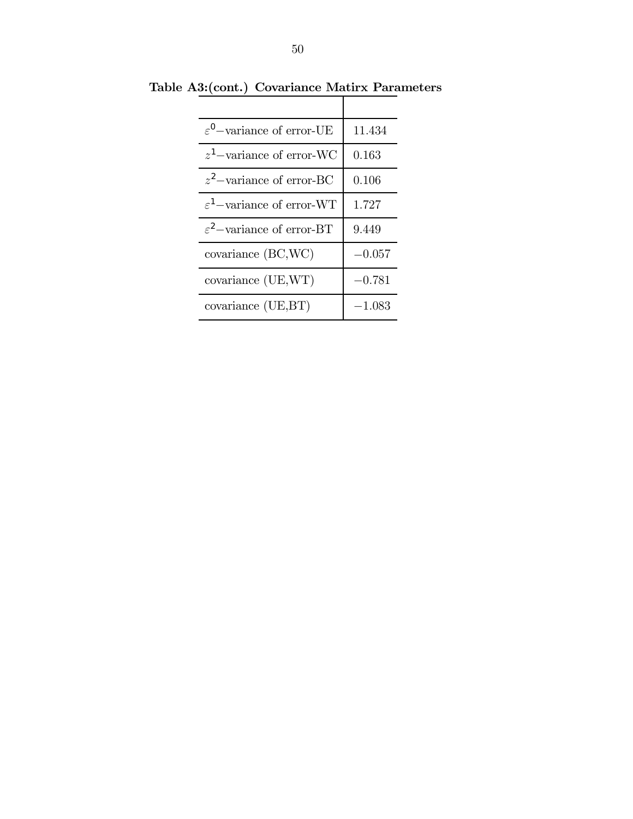| $\varepsilon^0$ -variance of error-UE | 11.434   |
|---------------------------------------|----------|
| $z^1$ -variance of error-WC           | 0.163    |
| $z^2$ -variance of error-BC           | 0.106    |
| $\varepsilon^1$ -variance of error-WT | 1.727    |
| $\varepsilon^2$ -variance of error-BT | 9.449    |
| covariance (BC,WC)                    | $-0.057$ |
| covariance (UE,WT)                    | $-0.781$ |
| covariance (UE,BT)                    | $-1.083$ |

Table A3:(cont.) Covariance Matirx Parameters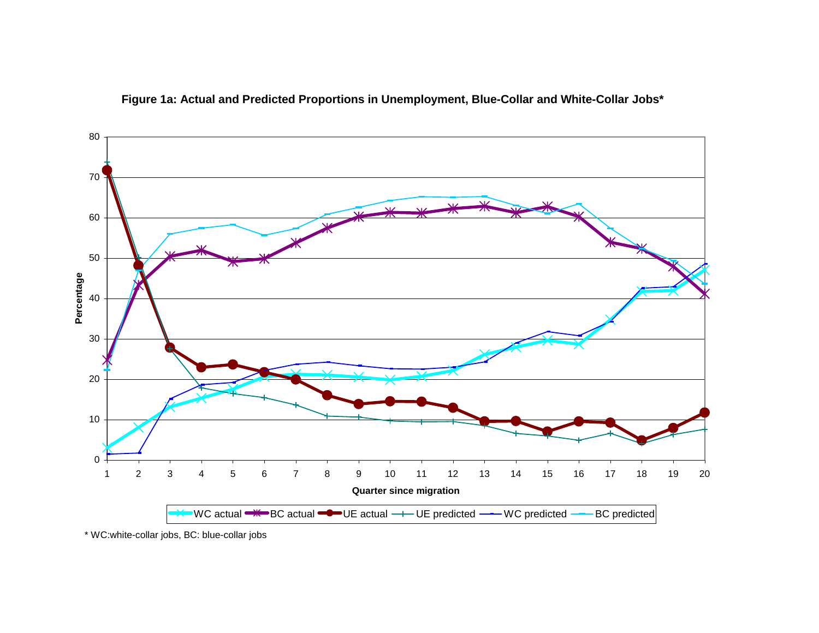

**Figure 1a: Actual and Predicted Proportions in Unemployment, Blue-Collar and White-Collar Jobs\***

\* WC:white-collar jobs, BC: blue-collar jobs